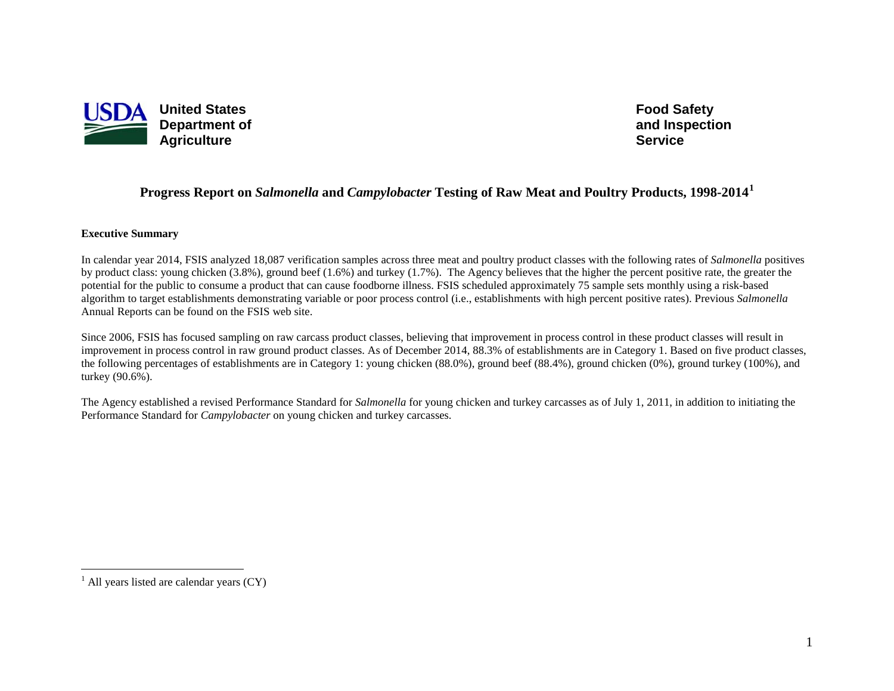

<span id="page-0-0"></span>**Food Safety and Inspection Service**

## **Progress Report on** *Salmonella* **and** *Campylobacter* **Testing of Raw Meat and Poultry Products, 1998-2014[1](#page-0-0)**

#### **Executive Summary**

In calendar year 2014, FSIS analyzed 18,087 verification samples across three meat and poultry product classes with the following rates of *Salmonella* positives by product class: young chicken (3.8%), ground beef (1.6%) and turkey (1.7%). The Agency believes that the higher the percent positive rate, the greater the potential for the public to consume a product that can cause foodborne illness. FSIS scheduled approximately 75 sample sets monthly using a risk-based algorithm to target establishments demonstrating variable or poor process control (i.e., establishments with high percent positive rates). Previous *Salmonella* Annual Reports can be found on the FSIS web site.

Since 2006, FSIS has focused sampling on raw carcass product classes, believing that improvement in process control in these product classes will result in improvement in process control in raw ground product classes. As of December 2014, 88.3% of establishments are in Category 1. Based on five product classes, the following percentages of establishments are in Category 1: young chicken (88.0%), ground beef (88.4%), ground chicken (0%), ground turkey (100%), and turkey (90.6%).

The Agency established a revised Performance Standard for *Salmonella* for young chicken and turkey carcasses as of July 1, 2011, in addition to initiating the Performance Standard for *Campylobacter* on young chicken and turkey carcasses.

 $\overline{a}$ 

 $<sup>1</sup>$  All years listed are calendar years (CY)</sup>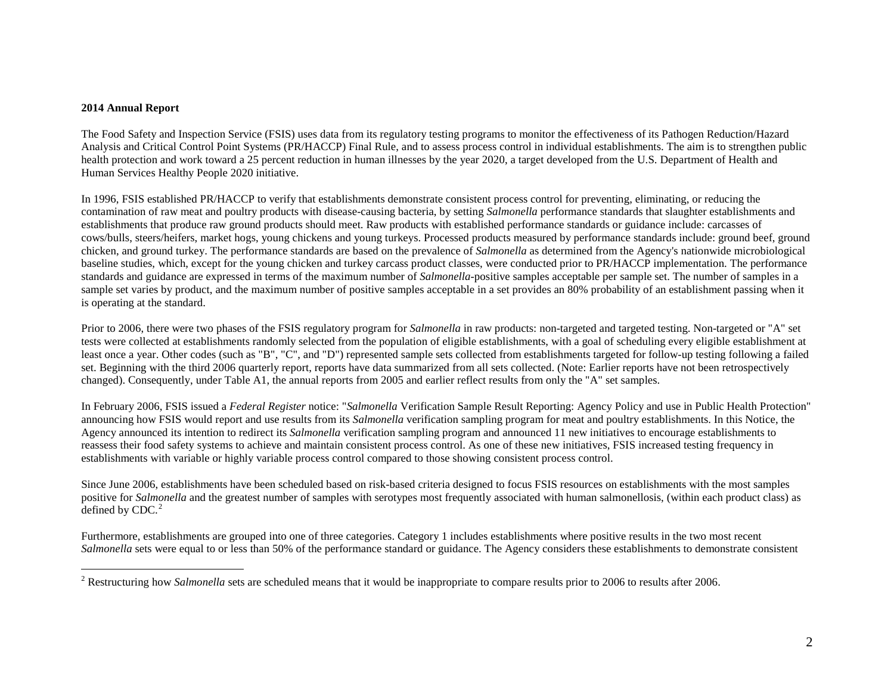#### <span id="page-1-0"></span>**2014 Annual Report**

 $\overline{a}$ 

The Food Safety and Inspection Service (FSIS) uses data from its regulatory testing programs to monitor the effectiveness of its Pathogen Reduction/Hazard Analysis and Critical Control Point Systems (PR/HACCP) Final Rule, and to assess process control in individual establishments. The aim is to strengthen public health protection and work toward a 25 percent reduction in human illnesses by the year 2020, a target developed from the U.S. Department of Health and Human Services Healthy People 2020 initiative.

In 1996, FSIS established PR/HACCP to verify that establishments demonstrate consistent process control for preventing, eliminating, or reducing the contamination of raw meat and poultry products with disease-causing bacteria, by setting *Salmonella* performance standards that slaughter establishments and establishments that produce raw ground products should meet. Raw products with established performance standards or guidance include: carcasses of cows/bulls, steers/heifers, market hogs, young chickens and young turkeys. Processed products measured by performance standards include: ground beef, ground chicken, and ground turkey. The performance standards are based on the prevalence of *Salmonella* as determined from the Agency's nationwide microbiological baseline studies, which, except for the young chicken and turkey carcass product classes, were conducted prior to PR/HACCP implementation. The performance standards and guidance are expressed in terms of the maximum number of *Salmonella*-positive samples acceptable per sample set. The number of samples in a sample set varies by product, and the maximum number of positive samples acceptable in a set provides an 80% probability of an establishment passing when it is operating at the standard.

Prior to 2006, there were two phases of the FSIS regulatory program for *Salmonella* in raw products: non-targeted and targeted testing. Non-targeted or "A" set tests were collected at establishments randomly selected from the population of eligible establishments, with a goal of scheduling every eligible establishment at least once a year. Other codes (such as "B", "C", and "D") represented sample sets collected from establishments targeted for follow-up testing following a failed set. Beginning with the third 2006 quarterly report, reports have data summarized from all sets collected. (Note: Earlier reports have not been retrospectively changed). Consequently, under Table A1, the annual reports from 2005 and earlier reflect results from only the "A" set samples.

In February 2006, FSIS issued a *Federal Register* notice: "*Salmonella* Verification Sample Result Reporting: Agency Policy and use in Public Health Protection" announcing how FSIS would report and use results from its *Salmonella* verification sampling program for meat and poultry establishments. In this Notice, the Agency announced its intention to redirect its *Salmonella* verification sampling program and announced 11 new initiatives to encourage establishments to reassess their food safety systems to achieve and maintain consistent process control. As one of these new initiatives, FSIS increased testing frequency in establishments with variable or highly variable process control compared to those showing consistent process control.

Since June 2006, establishments have been scheduled based on risk-based criteria designed to focus FSIS resources on establishments with the most samples positive for *Salmonella* and the greatest number of samples with serotypes most frequently associated with human salmonellosis, (within each product class) as defined by CDC. $<sup>2</sup>$  $<sup>2</sup>$  $<sup>2</sup>$ </sup>

Furthermore, establishments are grouped into one of three categories. Category 1 includes establishments where positive results in the two most recent *Salmonella* sets were equal to or less than 50% of the performance standard or guidance. The Agency considers these establishments to demonstrate consistent

<sup>&</sup>lt;sup>2</sup> Restructuring how *Salmonella* sets are scheduled means that it would be inappropriate to compare results prior to 2006 to results after 2006.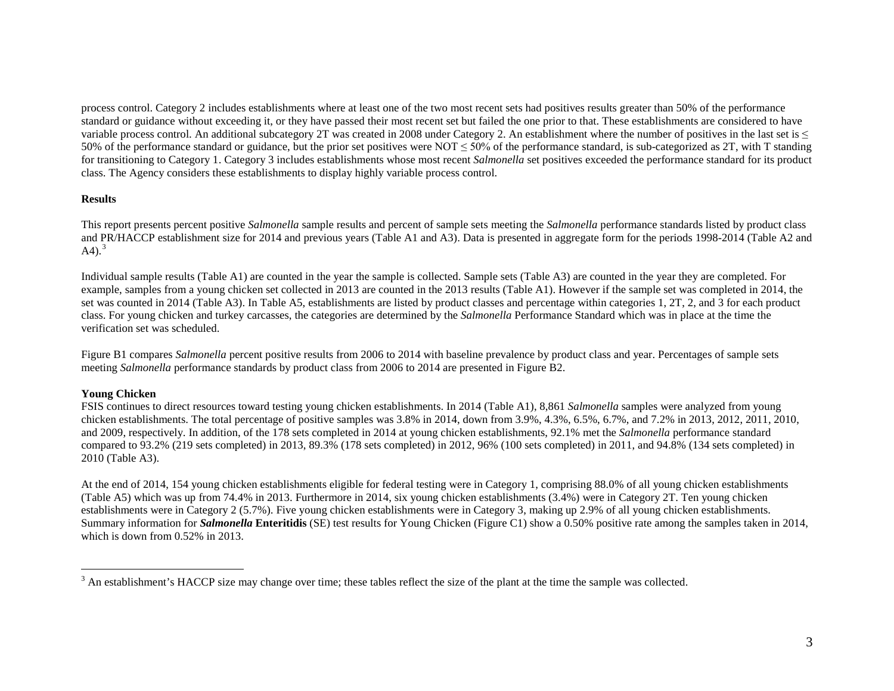<span id="page-2-0"></span>process control. Category 2 includes establishments where at least one of the two most recent sets had positives results greater than 50% of the performance standard or guidance without exceeding it, or they have passed their most recent set but failed the one prior to that. These establishments are considered to have variable process control. An additional subcategory 2T was created in 2008 under Category 2. An establishment where the number of positives in the last set is  $\leq$ 50% of the performance standard or guidance, but the prior set positives were NOT  $\leq$  50% of the performance standard, is sub-categorized as 2T, with T standing for transitioning to Category 1. Category 3 includes establishments whose most recent *Salmonella* set positives exceeded the performance standard for its product class. The Agency considers these establishments to display highly variable process control.

#### **Results**

This report presents percent positive *Salmonella* sample results and percent of sample sets meeting the *Salmonella* performance standards listed by product class and PR/HACCP establishment size for 2014 and previous years (Table A1 and A3). Data is presented in aggregate form for the periods 1998-2014 (Table A2 and A4 $^{3}$  $^{3}$  $^{3}$ .

Individual sample results (Table A1) are counted in the year the sample is collected. Sample sets (Table A3) are counted in the year they are completed. For example, samples from a young chicken set collected in 2013 are counted in the 2013 results (Table A1). However if the sample set was completed in 2014, the set was counted in 2014 (Table A3). In Table A5, establishments are listed by product classes and percentage within categories 1, 2T, 2, and 3 for each product class. For young chicken and turkey carcasses, the categories are determined by the *Salmonella* Performance Standard which was in place at the time the verification set was scheduled.

Figure B1 compares *Salmonella* percent positive results from 2006 to 2014 with baseline prevalence by product class and year. Percentages of sample sets meeting *Salmonella* performance standards by product class from 2006 to 2014 are presented in Figure B2.

#### **Young Chicken**

 $\overline{a}$ 

FSIS continues to direct resources toward testing young chicken establishments. In 2014 (Table A1), 8,861 *Salmonella* samples were analyzed from young chicken establishments. The total percentage of positive samples was 3.8% in 2014, down from 3.9%, 4.3%, 6.5%, 6.7%, and 7.2% in 2013, 2012, 2011, 2010, and 2009, respectively. In addition, of the 178 sets completed in 2014 at young chicken establishments, 92.1% met the *Salmonella* performance standard compared to 93.2% (219 sets completed) in 2013, 89.3% (178 sets completed) in 2012, 96% (100 sets completed) in 2011, and 94.8% (134 sets completed) in 2010 (Table A3).

At the end of 2014, 154 young chicken establishments eligible for federal testing were in Category 1, comprising 88.0% of all young chicken establishments (Table A5) which was up from 74.4% in 2013. Furthermore in 2014, six young chicken establishments (3.4%) were in Category 2T. Ten young chicken establishments were in Category 2 (5.7%). Five young chicken establishments were in Category 3, making up 2.9% of all young chicken establishments. Summary information for *Salmonella* **Enteritidis** (SE) test results for Young Chicken (Figure C1) show a 0.50% positive rate among the samples taken in 2014, which is down from 0.52% in 2013.

<sup>&</sup>lt;sup>3</sup> An establishment's HACCP size may change over time; these tables reflect the size of the plant at the time the sample was collected.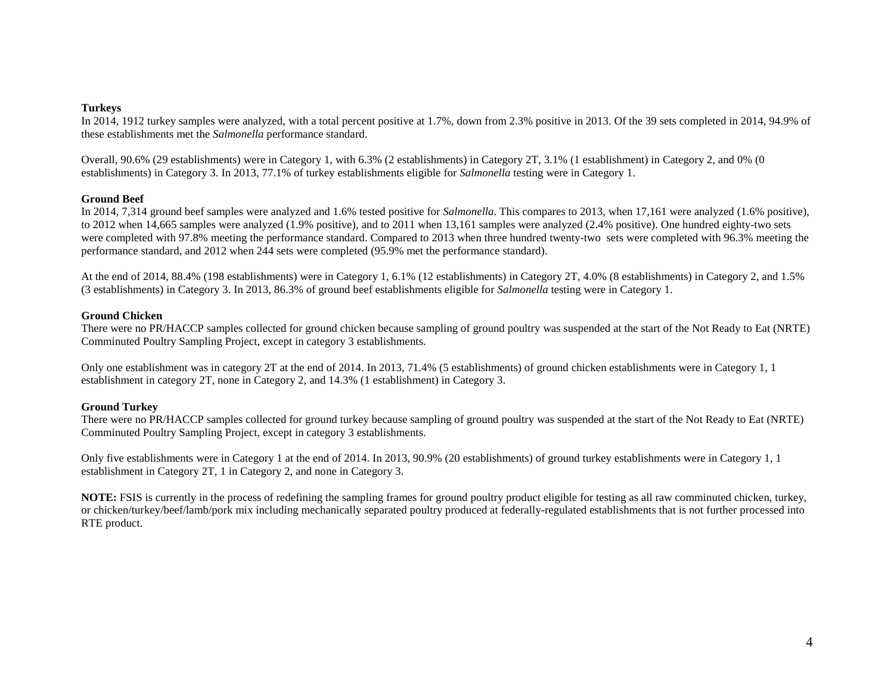#### **Turkeys**

In 2014, 1912 turkey samples were analyzed, with a total percent positive at 1.7%, down from 2.3% positive in 2013. Of the 39 sets completed in 2014, 94.9% of these establishments met the *Salmonella* performance standard.

Overall, 90.6% (29 establishments) were in Category 1, with 6.3% (2 establishments) in Category 2T, 3.1% (1 establishment) in Category 2, and 0% (0 establishments) in Category 3. In 2013, 77.1% of turkey establishments eligible for *Salmonella* testing were in Category 1.

### **Ground Beef**

In 2014, 7,314 ground beef samples were analyzed and 1.6% tested positive for *Salmonella*. This compares to 2013, when 17,161 were analyzed (1.6% positive), to 2012 when 14,665 samples were analyzed (1.9% positive), and to 2011 when 13,161 samples were analyzed (2.4% positive). One hundred eighty-two sets were completed with 97.8% meeting the performance standard. Compared to 2013 when three hundred twenty-two sets were completed with 96.3% meeting the performance standard, and 2012 when 244 sets were completed (95.9% met the performance standard).

At the end of 2014, 88.4% (198 establishments) were in Category 1, 6.1% (12 establishments) in Category 2T, 4.0% (8 establishments) in Category 2, and 1.5% (3 establishments) in Category 3. In 2013, 86.3% of ground beef establishments eligible for *Salmonella* testing were in Category 1.

### **Ground Chicken**

There were no PR/HACCP samples collected for ground chicken because sampling of ground poultry was suspended at the start of the Not Ready to Eat (NRTE) Comminuted Poultry Sampling Project, except in category 3 establishments.

Only one establishment was in category 2T at the end of 2014. In 2013, 71.4% (5 establishments) of ground chicken establishments were in Category 1, 1 establishment in category 2T, none in Category 2, and 14.3% (1 establishment) in Category 3.

### **Ground Turkey**

There were no PR/HACCP samples collected for ground turkey because sampling of ground poultry was suspended at the start of the Not Ready to Eat (NRTE) Comminuted Poultry Sampling Project, except in category 3 establishments.

Only five establishments were in Category 1 at the end of 2014. In 2013, 90.9% (20 establishments) of ground turkey establishments were in Category 1, 1 establishment in Category 2T, 1 in Category 2, and none in Category 3.

**NOTE:** FSIS is currently in the process of redefining the sampling frames for ground poultry product eligible for testing as all raw comminuted chicken, turkey, or chicken/turkey/beef/lamb/pork mix including mechanically separated poultry produced at federally-regulated establishments that is not further processed into RTE product.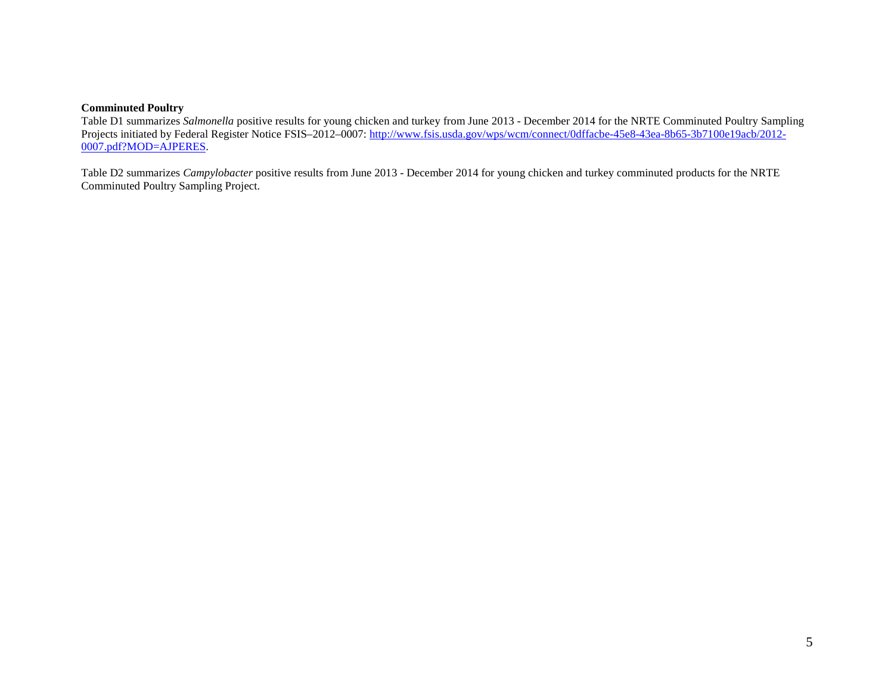#### **Comminuted Poultry**

Table D1 summarizes *Salmonella* positive results for young chicken and turkey from June 2013 - December 2014 for the NRTE Comminuted Poultry Sampling Projects initiated by Federal Register Notice FSIS-2012-0007: [http://www.fsis.usda.gov/wps/wcm/connect/0dffacbe-45e8-43ea-8b65-3b7100e19acb/2012-](http://www.fsis.usda.gov/wps/wcm/connect/0dffacbe-45e8-43ea-8b65-3b7100e19acb/2012-0007.pdf?MOD=AJPERES) [0007.pdf?MOD=AJPERES.](http://www.fsis.usda.gov/wps/wcm/connect/0dffacbe-45e8-43ea-8b65-3b7100e19acb/2012-0007.pdf?MOD=AJPERES) 

Table D2 summarizes *Campylobacter* positive results from June 2013 - December 2014 for young chicken and turkey comminuted products for the NRTE Comminuted Poultry Sampling Project.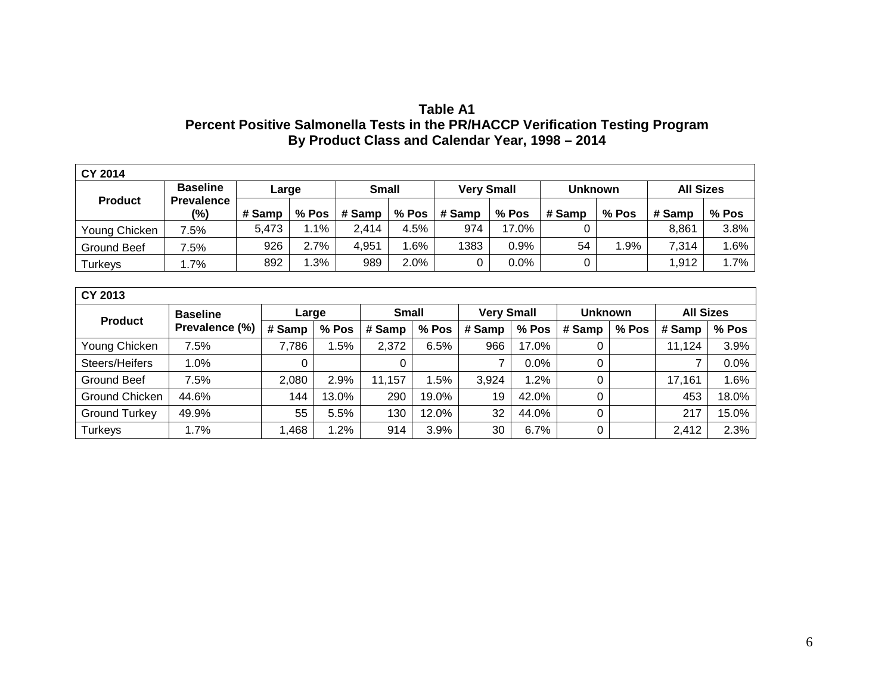# **Table A1 Percent Positive Salmonella Tests in the PR/HACCP Verification Testing Program By Product Class and Calendar Year, 1998 – 2014**

| <b>CY 2014</b> |                          |        |         |              |         |                   |       |                |       |                  |        |
|----------------|--------------------------|--------|---------|--------------|---------|-------------------|-------|----------------|-------|------------------|--------|
| <b>Product</b> | <b>Baseline</b>          | Large  |         | <b>Small</b> |         | <b>Very Small</b> |       | <b>Unknown</b> |       | <b>All Sizes</b> |        |
|                | <b>Prevalence</b><br>(%) | # Samp | $%$ Pos | # Samp       | $%$ Pos | # Samp            | % Pos | # Samp         | % Pos | # Samp           | % Pos  |
| Young Chicken  | 7.5%                     | 5,473  | $.1\%$  | 2.414        | 4.5%    | 974               | 17.0% | 0              |       | 8.861            | 3.8%   |
| Ground Beef    | 7.5%                     | 926    | 2.7%    | 4,951        | $.6\%$  | 1383              | 0.9%  | 54             | l.9%  | 7,314            | $.6\%$ |
| <b>Turkeys</b> | 1.7%                     | 892    | 1.3%    | 989          | 2.0%    | 0                 | 0.0%  | 0              |       | .912,            | l.7%   |

| <b>CY 2013</b>       |                 |        |       |        |              |        |                   |                |       |                  |       |  |  |  |
|----------------------|-----------------|--------|-------|--------|--------------|--------|-------------------|----------------|-------|------------------|-------|--|--|--|
| <b>Product</b>       | <b>Baseline</b> | Large  |       |        | <b>Small</b> |        | <b>Very Small</b> | <b>Unknown</b> |       | <b>All Sizes</b> |       |  |  |  |
|                      | Prevalence (%)  | # Samp | % Pos | # Samp | % Pos        | # Samp | % Pos             | # Samp         | % Pos | # Samp           | % Pos |  |  |  |
| Young Chicken        | 7.5%            | 7,786  | 1.5%  | 2,372  | 6.5%         | 966    | 17.0%             | 0              |       | 11,124           | 3.9%  |  |  |  |
| Steers/Heifers       | 1.0%            |        |       |        |              |        | $0.0\%$           | 0              |       |                  | 0.0%  |  |  |  |
| Ground Beef          | 7.5%            | 2,080  | 2.9%  | 11,157 | 1.5%         | 3,924  | 1.2%              | 0              |       | 17,161           | 1.6%  |  |  |  |
| Ground Chicken       | 44.6%           | 144    | 13.0% | 290    | 19.0%        | 19     | 42.0%             | 0              |       | 453              | 18.0% |  |  |  |
| <b>Ground Turkey</b> | 49.9%           | 55     | 5.5%  | 130    | 12.0%        | 32     | 44.0%             | 0              |       | 217              | 15.0% |  |  |  |
| Turkeys              | 1.7%            | ,468   | 1.2%  | 914    | 3.9%         | 30     | 6.7%              | 0              |       | 2,412            | 2.3%  |  |  |  |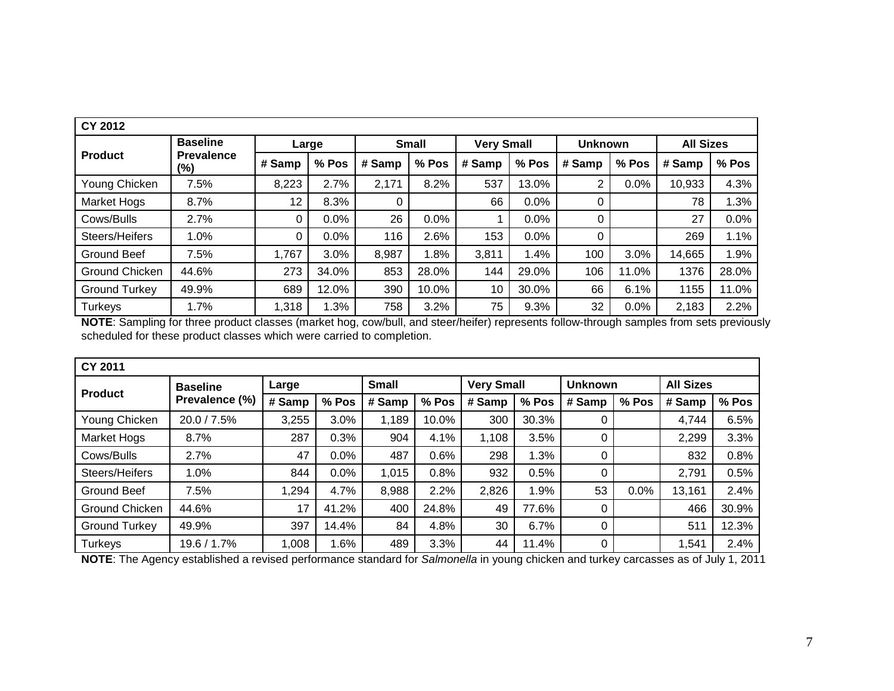| <b>CY 2012</b>       |                             |        |       |              |       |                   |       |                |       |                  |         |
|----------------------|-----------------------------|--------|-------|--------------|-------|-------------------|-------|----------------|-------|------------------|---------|
|                      | <b>Baseline</b>             |        | Large | <b>Small</b> |       | <b>Very Small</b> |       | <b>Unknown</b> |       | <b>All Sizes</b> |         |
| <b>Product</b>       | <b>Prevalence</b><br>$(\%)$ | # Samp | % Pos | # Samp       | % Pos | # Samp            | % Pos | # Samp         | % Pos | # Samp           | % Pos   |
| Young Chicken        | 7.5%                        | 8,223  | 2.7%  | 2,171        | 8.2%  | 537               | 13.0% | 2              | 0.0%  | 10,933           | 4.3%    |
| Market Hogs          | 8.7%                        | 12     | 8.3%  | 0            |       | 66                | 0.0%  | 0              |       | 78               | 1.3%    |
| Cows/Bulls           | 2.7%                        | 0      | 0.0%  | 26           | 0.0%  |                   | 0.0%  | 0              |       | 27               | $0.0\%$ |
| Steers/Heifers       | 1.0%                        | 0      | 0.0%  | 116          | 2.6%  | 153               | 0.0%  | 0              |       | 269              | 1.1%    |
| <b>Ground Beef</b>   | 7.5%                        | 1,767  | 3.0%  | 8,987        | .8%   | 3,811             | 1.4%  | 100            | 3.0%  | 14,665           | 1.9%    |
| Ground Chicken       | 44.6%                       | 273    | 34.0% | 853          | 28.0% | 144               | 29.0% | 106            | 11.0% | 1376             | 28.0%   |
| <b>Ground Turkey</b> | 49.9%                       | 689    | 12.0% | 390          | 10.0% | 10                | 30.0% | 66             | 6.1%  | 1155             | 11.0%   |
| <b>Turkeys</b>       | 1.7%                        | 1,318  | 1.3%  | 758          | 3.2%  | 75                | 9.3%  | 32             | 0.0%  | 2,183            | 2.2%    |

**NOTE**: Sampling for three product classes (market hog, cow/bull, and steer/heifer) represents follow-through samples from sets previously scheduled for these product classes which were carried to completion.

| <b>CY 2011</b>       |                 |        |       |              |       |                   |       |                |       |                  |       |
|----------------------|-----------------|--------|-------|--------------|-------|-------------------|-------|----------------|-------|------------------|-------|
| <b>Product</b>       | <b>Baseline</b> | Large  |       | <b>Small</b> |       | <b>Very Small</b> |       | <b>Unknown</b> |       | <b>All Sizes</b> |       |
|                      | Prevalence (%)  | # Samp | % Pos | # Samp       | % Pos | # Samp            | % Pos | # Samp         | % Pos | # Samp           | % Pos |
| Young Chicken        | 20.0 / 7.5%     | 3,255  | 3.0%  | 1,189        | 10.0% | 300               | 30.3% | 0              |       | 4,744            | 6.5%  |
| <b>Market Hogs</b>   | 8.7%            | 287    | 0.3%  | 904          | 4.1%  | 1,108             | 3.5%  | 0              |       | 2,299            | 3.3%  |
| Cows/Bulls           | 2.7%            | 47     | 0.0%  | 487          | 0.6%  | 298               | 1.3%  | 0              |       | 832              | 0.8%  |
| Steers/Heifers       | 1.0%            | 844    | 0.0%  | 1,015        | 0.8%  | 932               | 0.5%  | 0              |       | 2,791            | 0.5%  |
| Ground Beef          | 7.5%            | 1,294  | 4.7%  | 8,988        | 2.2%  | 2,826             | 1.9%  | 53             | 0.0%  | 13,161           | 2.4%  |
| Ground Chicken       | 44.6%           | 17     | 41.2% | 400          | 24.8% | 49                | 77.6% | 0              |       | 466              | 30.9% |
| <b>Ground Turkey</b> | 49.9%           | 397    | 14.4% | 84           | 4.8%  | 30                | 6.7%  | 0              |       | 511              | 12.3% |
| Turkeys              | 19.6 / 1.7%     | 1,008  | l.6%  | 489          | 3.3%  | 44                | 11.4% | $\overline{0}$ |       | 1,541            | 2.4%  |

**NOTE**: The Agency established a revised performance standard for *Salmonella* in young chicken and turkey carcasses as of July 1, 2011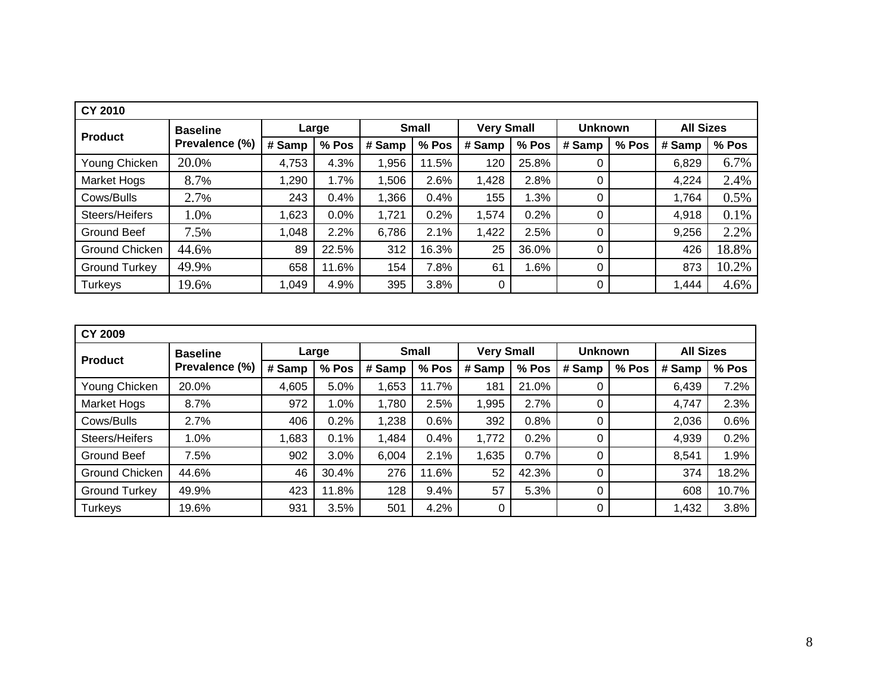| <b>CY 2010</b>       |                 |        |       |        |              |                   |       |                |       |                  |       |
|----------------------|-----------------|--------|-------|--------|--------------|-------------------|-------|----------------|-------|------------------|-------|
| <b>Product</b>       | <b>Baseline</b> |        | Large |        | <b>Small</b> | <b>Very Small</b> |       | <b>Unknown</b> |       | <b>All Sizes</b> |       |
|                      | Prevalence (%)  | # Samp | % Pos | # Samp | % Pos        | # Samp            | % Pos | # Samp         | % Pos | # Samp           | % Pos |
| Young Chicken        | 20.0%           | 4,753  | 4.3%  | 1,956  | 11.5%        | 120               | 25.8% | 0              |       | 6,829            | 6.7%  |
| <b>Market Hogs</b>   | 8.7%            | 1,290  | 1.7%  | 1,506  | 2.6%         | 1,428             | 2.8%  | 0              |       | 4,224            | 2.4%  |
| Cows/Bulls           | 2.7%            | 243    | 0.4%  | 1,366  | 0.4%         | 155               | 1.3%  | 0              |       | 1,764            | 0.5%  |
| Steers/Heifers       | 1.0%            | ,623   | 0.0%  | 1,721  | 0.2%         | 1,574             | 0.2%  | 0              |       | 4,918            | 0.1%  |
| Ground Beef          | 7.5%            | 1,048  | 2.2%  | 6,786  | 2.1%         | 1,422             | 2.5%  | 0              |       | 9,256            | 2.2%  |
| Ground Chicken       | 44.6%           | 89     | 22.5% | 312    | 16.3%        | 25                | 36.0% | 0              |       | 426              | 18.8% |
| <b>Ground Turkey</b> | 49.9%           | 658    | 11.6% | 154    | 7.8%         | 61                | 1.6%  | 0              |       | 873              | 10.2% |
| Turkeys              | 19.6%           | 1,049  | 4.9%  | 395    | 3.8%         | 0                 |       | 0              |       | 1,444            | 4.6%  |

| <b>CY 2009</b>       |                 |        |       |        |              |                   |       |                |       |                  |       |
|----------------------|-----------------|--------|-------|--------|--------------|-------------------|-------|----------------|-------|------------------|-------|
| <b>Product</b>       | <b>Baseline</b> |        | Large |        | <b>Small</b> | <b>Very Small</b> |       | <b>Unknown</b> |       | <b>All Sizes</b> |       |
|                      | Prevalence (%)  | # Samp | % Pos | # Samp | % Pos        | # Samp            | % Pos | # Samp         | % Pos | # Samp           | % Pos |
| Young Chicken        | 20.0%           | 4,605  | 5.0%  | 1,653  | 11.7%        | 181               | 21.0% | 0              |       | 6,439            | 7.2%  |
| <b>Market Hogs</b>   | 8.7%            | 972    | 1.0%  | 1,780  | 2.5%         | .995              | 2.7%  | 0              |       | 4,747            | 2.3%  |
| Cows/Bulls           | 2.7%            | 406    | 0.2%  | 1,238  | 0.6%         | 392               | 0.8%  | 0              |       | 2,036            | 0.6%  |
| Steers/Heifers       | 1.0%            | .683   | 0.1%  | 1,484  | 0.4%         | 1,772             | 0.2%  | 0              |       | 4,939            | 0.2%  |
| Ground Beef          | 7.5%            | 902    | 3.0%  | 6,004  | 2.1%         | 1,635             | 0.7%  | 0              |       | 8,541            | 1.9%  |
| Ground Chicken       | 44.6%           | 46     | 30.4% | 276    | 11.6%        | 52                | 42.3% | 0              |       | 374              | 18.2% |
| <b>Ground Turkey</b> | 49.9%           | 423    | 1.8%  | 128    | 9.4%         | 57                | 5.3%  | 0              |       | 608              | 10.7% |
| Turkeys              | 19.6%           | 931    | 3.5%  | 501    | 4.2%         | 0                 |       | 0              |       | 1,432            | 3.8%  |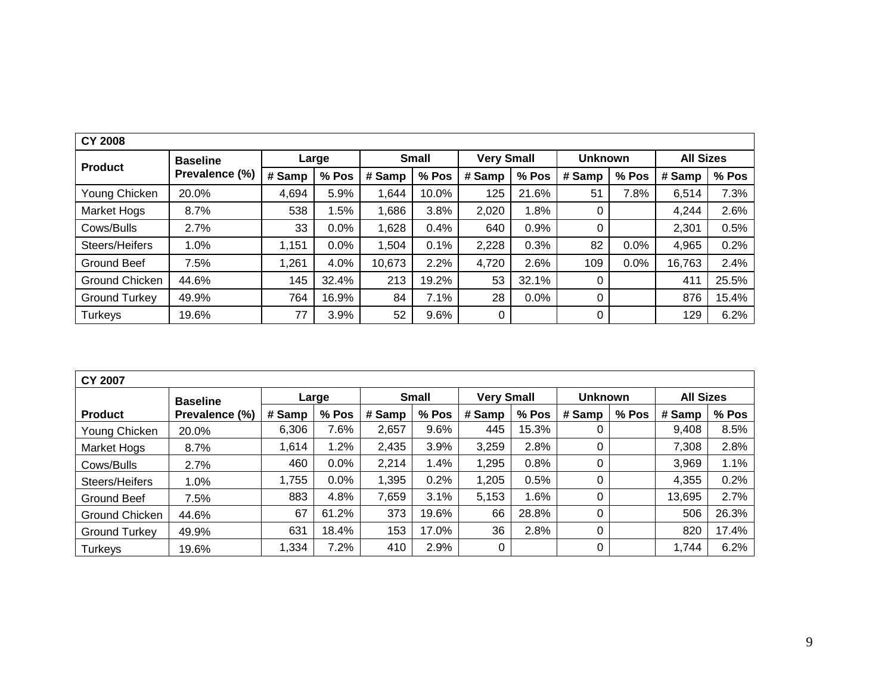| <b>CY 2008</b>       |                 |        |       |        |              |                   |       |                |         |                  |       |
|----------------------|-----------------|--------|-------|--------|--------------|-------------------|-------|----------------|---------|------------------|-------|
|                      | <b>Baseline</b> |        | Large |        | <b>Small</b> | <b>Very Small</b> |       | <b>Unknown</b> |         | <b>All Sizes</b> |       |
| <b>Product</b>       | Prevalence (%)  | # Samp | % Pos | # Samp | % Pos        | # Samp            | % Pos | # Samp         | % Pos   | # Samp           | % Pos |
| Young Chicken        | 20.0%           | 4,694  | 5.9%  | 1,644  | 10.0%        | 125               | 21.6% | 51             | 7.8%    | 6,514            | 7.3%  |
| Market Hogs          | 8.7%            | 538    | 1.5%  | 1,686  | 3.8%         | 2,020             | 1.8%  | 0              |         | 4,244            | 2.6%  |
| Cows/Bulls           | 2.7%            | 33     | 0.0%  | 1,628  | 0.4%         | 640               | 0.9%  | 0              |         | 2,301            | 0.5%  |
| Steers/Heifers       | 1.0%            | 1,151  | 0.0%  | 1,504  | 0.1%         | 2,228             | 0.3%  | 82             | $0.0\%$ | 4,965            | 0.2%  |
| <b>Ground Beef</b>   | 7.5%            | 1,261  | 4.0%  | 10,673 | 2.2%         | 4,720             | 2.6%  | 109            | 0.0%    | 16,763           | 2.4%  |
| Ground Chicken       | 44.6%           | 145    | 32.4% | 213    | 19.2%        | 53                | 32.1% | 0              |         | 411              | 25.5% |
| <b>Ground Turkey</b> | 49.9%           | 764    | 16.9% | 84     | 7.1%         | 28                | 0.0%  | 0              |         | 876              | 15.4% |
| <b>Turkeys</b>       | 19.6%           | 77     | 3.9%  | 52     | 9.6%         | 0                 |       | 0              |         | 129              | 6.2%  |

| <b>CY 2007</b>       |                 |        |       |        |              |                   |         |                |       |                  |         |
|----------------------|-----------------|--------|-------|--------|--------------|-------------------|---------|----------------|-------|------------------|---------|
|                      | <b>Baseline</b> |        | Large |        | <b>Small</b> | <b>Very Small</b> |         | <b>Unknown</b> |       | <b>All Sizes</b> |         |
| <b>Product</b>       | Prevalence (%)  | # Samp | % Pos | # Samp | $%$ Pos      | # Samp            | % Pos   | # Samp         | % Pos | # Samp           | % Pos   |
| Young Chicken        | 20.0%           | 6,306  | 7.6%  | 2,657  | 9.6%         | 445               | 15.3%   | 0              |       | 9,408            | 8.5%    |
| Market Hogs          | 8.7%            | 1,614  | 1.2%  | 2,435  | 3.9%         | 3,259             | 2.8%    | 0              |       | 7,308            | 2.8%    |
| Cows/Bulls           | 2.7%            | 460    | 0.0%  | 2,214  | 1.4%         | 1,295             | 0.8%    | 0              |       | 3,969            | $1.1\%$ |
| Steers/Heifers       | 1.0%            | 1,755  | 0.0%  | 1,395  | 0.2%         | .205              | 0.5%    | 0              |       | 4,355            | 0.2%    |
| Ground Beef          | 7.5%            | 883    | 4.8%  | 7,659  | 3.1%         | 5,153             | $1.6\%$ | 0              |       | 13,695           | 2.7%    |
| Ground Chicken       | 44.6%           | 67     | 61.2% | 373    | 19.6%        | 66                | 28.8%   | 0              |       | 506              | 26.3%   |
| <b>Ground Turkey</b> | 49.9%           | 631    | 18.4% | 153    | 17.0%        | 36                | 2.8%    | 0              |       | 820              | 17.4%   |
| Turkeys              | 19.6%           | 1,334  | 7.2%  | 410    | 2.9%         |                   |         | 0              |       | 1,744            | 6.2%    |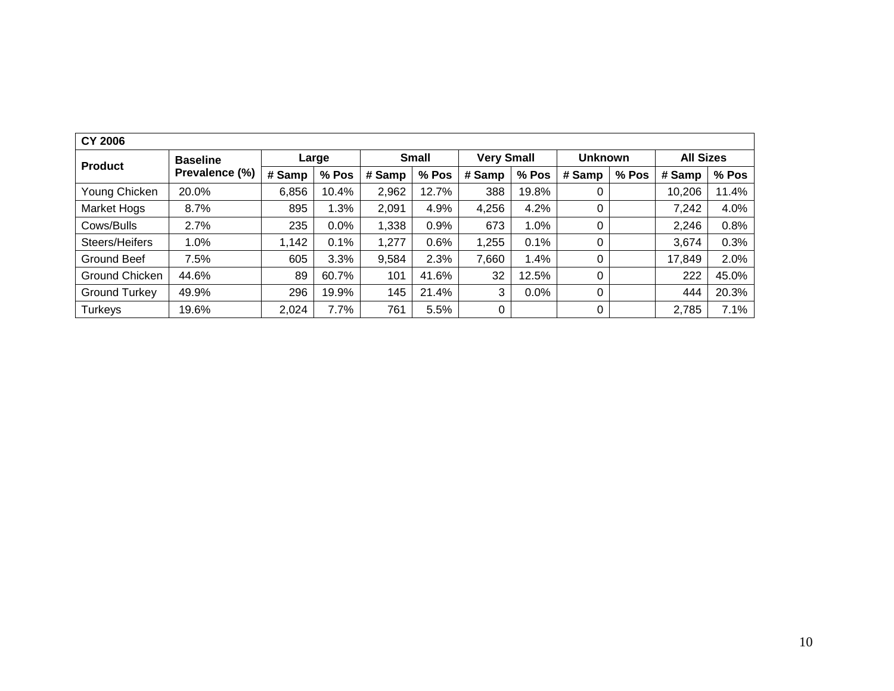| <b>CY 2006</b>       |                 |        |         |        |              |                   |       |                |       |                  |       |
|----------------------|-----------------|--------|---------|--------|--------------|-------------------|-------|----------------|-------|------------------|-------|
| <b>Product</b>       | <b>Baseline</b> |        | Large   |        | <b>Small</b> | <b>Very Small</b> |       | <b>Unknown</b> |       | <b>All Sizes</b> |       |
|                      | Prevalence (%)  | # Samp | $%$ Pos | # Samp | % Pos        | # Samp            | % Pos | # Samp         | % Pos | # Samp           | % Pos |
| Young Chicken        | 20.0%           | 6,856  | 10.4%   | 2,962  | 12.7%        | 388               | 19.8% |                |       | 10,206           | 11.4% |
| Market Hogs          | 8.7%            | 895    | 1.3%    | 2,091  | 4.9%         | 4,256             | 4.2%  | 0              |       | 7,242            | 4.0%  |
| Cows/Bulls           | 2.7%            | 235    | 0.0%    | 1,338  | 0.9%         | 673               | 1.0%  | 0              |       | 2,246            | 0.8%  |
| Steers/Heifers       | 1.0%            | 1,142  | 0.1%    | 1,277  | 0.6%         | 1,255             | 0.1%  | 0              |       | 3,674            | 0.3%  |
| Ground Beef          | 7.5%            | 605    | 3.3%    | 9,584  | 2.3%         | 7,660             | 1.4%  |                |       | 17,849           | 2.0%  |
| Ground Chicken       | 44.6%           | 89     | 60.7%   | 101    | 41.6%        | 32                | 12.5% | 0              |       | 222              | 45.0% |
| <b>Ground Turkey</b> | 49.9%           | 296    | 19.9%   | 145    | 21.4%        | 3                 | 0.0%  | 0              |       | 444              | 20.3% |
| <b>Turkeys</b>       | 19.6%           | 2,024  | 7.7%    | 761    | 5.5%         | 0                 |       | 0              |       | 2,785            | 7.1%  |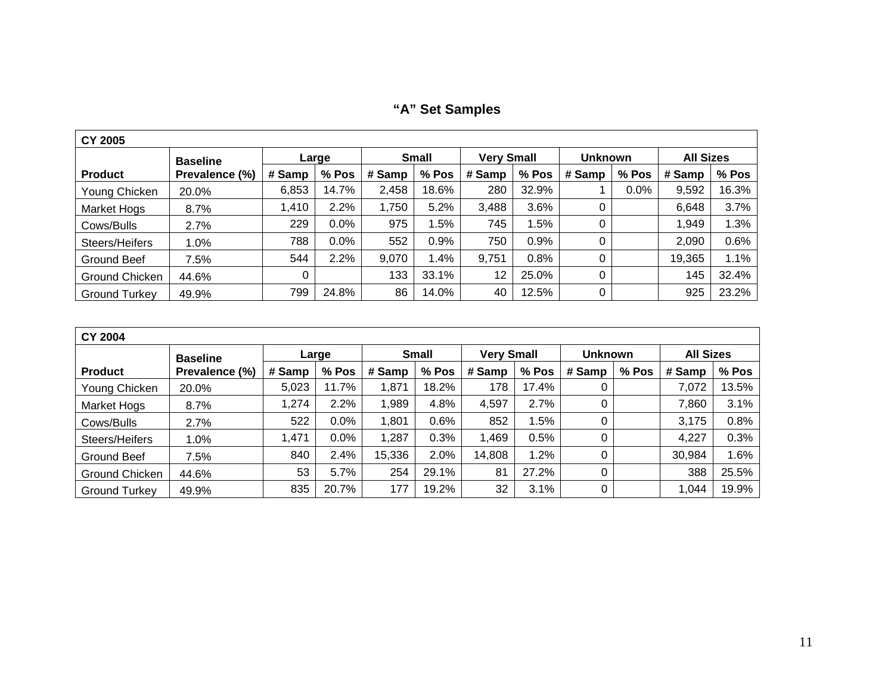**"A" Set Samples**

| <b>CY 2005</b>        |                 |        |       |        |              |                   |         |                |       |                  |       |  |  |
|-----------------------|-----------------|--------|-------|--------|--------------|-------------------|---------|----------------|-------|------------------|-------|--|--|
|                       | <b>Baseline</b> |        | Large |        | <b>Small</b> | <b>Very Small</b> |         | <b>Unknown</b> |       | <b>All Sizes</b> |       |  |  |
| <b>Product</b>        | Prevalence (%)  | # Samp | % Pos | # Samp | $%$ Pos      | # Samp            | $%$ Pos | # Samp         | % Pos | # Samp           | % Pos |  |  |
| Young Chicken         | 20.0%           | 6,853  | 14.7% | 2,458  | 18.6%        | 280               | 32.9%   |                | 0.0%  | 9,592            | 16.3% |  |  |
| <b>Market Hogs</b>    | 8.7%            | 1,410  | 2.2%  | 1,750  | 5.2%         | 3,488             | 3.6%    | 0              |       | 6,648            | 3.7%  |  |  |
| Cows/Bulls            | 2.7%            | 229    | 0.0%  | 975    | 1.5%         | 745               | 1.5%    | 0              |       | 1,949            | 1.3%  |  |  |
| Steers/Heifers        | 1.0%            | 788    | 0.0%  | 552    | 0.9%         | 750               | 0.9%    | 0              |       | 2,090            | 0.6%  |  |  |
| Ground Beef           | 7.5%            | 544    | 2.2%  | 9,070  | 1.4%         | 9,751             | 0.8%    | 0              |       | 19,365           | 1.1%  |  |  |
| <b>Ground Chicken</b> | 44.6%           | 0      |       | 133    | 33.1%        | 12                | 25.0%   | 0              |       | 145              | 32.4% |  |  |
| <b>Ground Turkey</b>  | 49.9%           | 799    | 24.8% | 86     | 14.0%        | 40                | 12.5%   | 0              |       | 925              | 23.2% |  |  |

| <b>CY 2004</b>       |                 |        |       |        |              |                   |         |                |       |                  |         |  |  |  |
|----------------------|-----------------|--------|-------|--------|--------------|-------------------|---------|----------------|-------|------------------|---------|--|--|--|
|                      | <b>Baseline</b> |        | Large |        | <b>Small</b> | <b>Very Small</b> |         | <b>Unknown</b> |       | <b>All Sizes</b> |         |  |  |  |
| <b>Product</b>       | Prevalence (%)  | # Samp | % Pos | # Samp | % Pos        | # Samp            | % Pos   | # Samp         | % Pos | # Samp           | $%$ Pos |  |  |  |
| Young Chicken        | 20.0%           | 5,023  | 11.7% | 1,871  | 18.2%        | 178               | 17.4%   | 0              |       | 7,072            | 13.5%   |  |  |  |
| <b>Market Hogs</b>   | 8.7%            | 1,274  | 2.2%  | 1,989  | 4.8%         | 4,597             | 2.7%    | 0              |       | 7,860            | 3.1%    |  |  |  |
| Cows/Bulls           | 2.7%            | 522    | 0.0%  | 1,801  | 0.6%         | 852               | $1.5\%$ | 0              |       | 3,175            | 0.8%    |  |  |  |
| Steers/Heifers       | 1.0%            | 1,471  | 0.0%  | 1,287  | 0.3%         | A69,              | 0.5%    | 0              |       | 4,227            | 0.3%    |  |  |  |
| Ground Beef          | 7.5%            | 840    | 2.4%  | 15,336 | 2.0%         | 14,808            | 1.2%    | 0              |       | 30,984           | 1.6%    |  |  |  |
| Ground Chicken       | 44.6%           | 53     | 5.7%  | 254    | 29.1%        | 81                | 27.2%   | 0              |       | 388              | 25.5%   |  |  |  |
| <b>Ground Turkey</b> | 49.9%           | 835    | 20.7% | 177    | 19.2%        | 32                | 3.1%    | 0              |       | 1,044            | 19.9%   |  |  |  |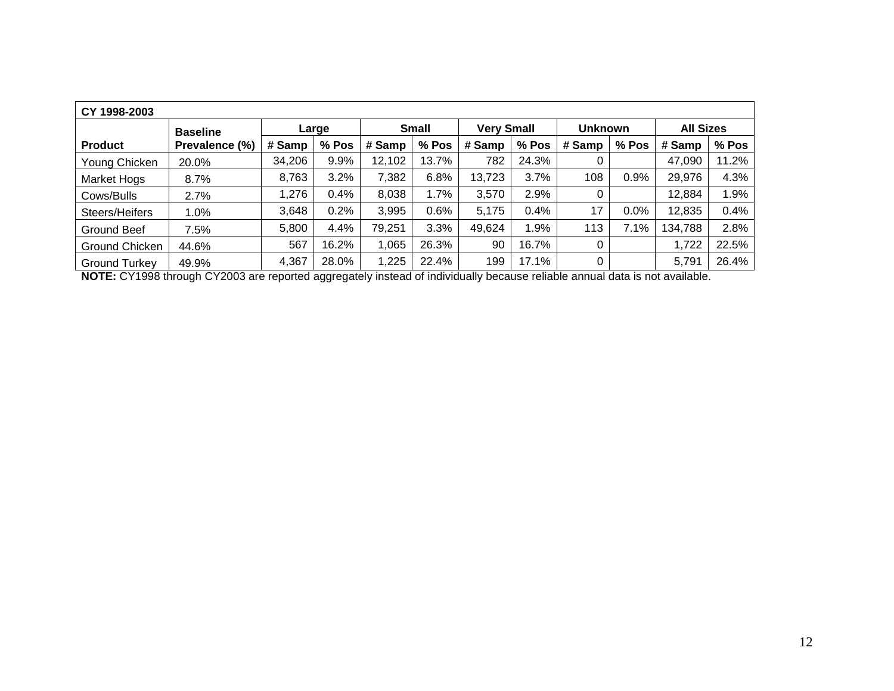| CY 1998-2003         |                 |        |       |        |              |                   |       |                |       |                  |         |  |  |  |
|----------------------|-----------------|--------|-------|--------|--------------|-------------------|-------|----------------|-------|------------------|---------|--|--|--|
|                      | <b>Baseline</b> |        | Large |        | <b>Small</b> | <b>Very Small</b> |       | <b>Unknown</b> |       | <b>All Sizes</b> |         |  |  |  |
| <b>Product</b>       | Prevalence (%)  | # Samp | % Pos | # Samp | $%$ Pos      | # Samp            | % Pos | # Samp         | % Pos | # Samp           | $%$ Pos |  |  |  |
| Young Chicken        | 20.0%           | 34,206 | 9.9%  | 12,102 | 13.7%        | 782               | 24.3% |                |       | 47,090           | 11.2%   |  |  |  |
| Market Hogs          | 8.7%            | 8,763  | 3.2%  | 7,382  | 6.8%         | 13,723            | 3.7%  | 108            | 0.9%  | 29,976           | 4.3%    |  |  |  |
| Cows/Bulls           | 2.7%            | 1,276  | 0.4%  | 8,038  | 1.7%         | 3,570             | 2.9%  | 0              |       | 12,884           | $1.9\%$ |  |  |  |
| Steers/Heifers       | 1.0%            | 3,648  | 0.2%  | 3,995  | 0.6%         | 5,175             | 0.4%  | 17             | 0.0%  | 12,835           | 0.4%    |  |  |  |
| Ground Beef          | 7.5%            | 5,800  | 4.4%  | 79,251 | 3.3%         | 49,624            | 1.9%  | 113            | 7.1%  | 134,788          | 2.8%    |  |  |  |
| Ground Chicken       | 44.6%           | 567    | 16.2% | 1,065  | 26.3%        | 90                | 16.7% | 0              |       | 1,722            | 22.5%   |  |  |  |
| <b>Ground Turkey</b> | 49.9%           | 4,367  | 28.0% | 1,225  | 22.4%        | 199               | 17.1% | 0              |       | 5,791            | 26.4%   |  |  |  |

**NOTE:** CY1998 through CY2003 are reported aggregately instead of individually because reliable annual data is not available.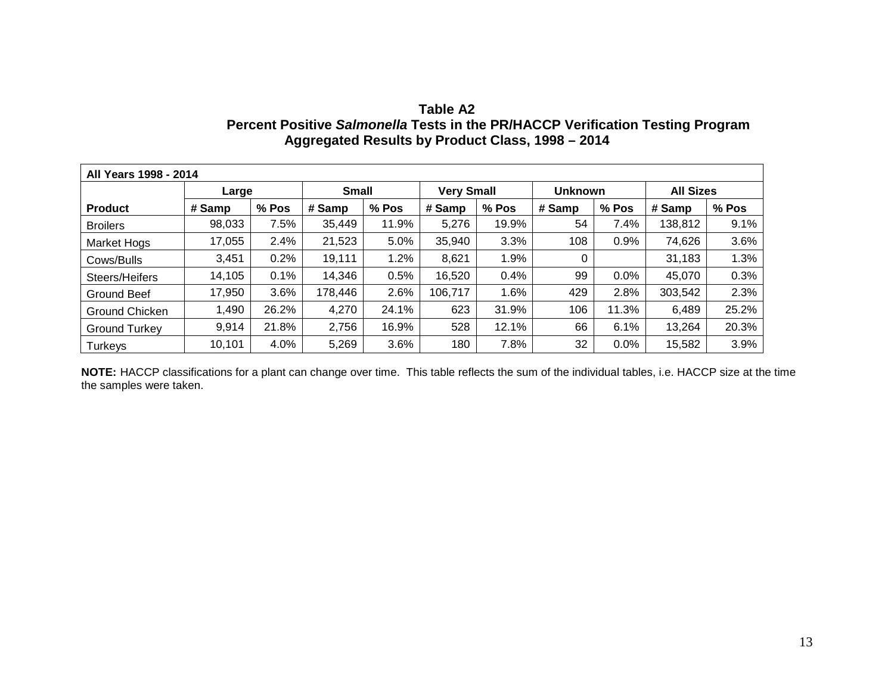| Table A2                                                                       |
|--------------------------------------------------------------------------------|
| Percent Positive Salmonella Tests in the PR/HACCP Verification Testing Program |
| Aggregated Results by Product Class, 1998 – 2014                               |

|                      | All Years 1998 - 2014 |       |              |       |                   |       |                |         |                  |       |  |  |
|----------------------|-----------------------|-------|--------------|-------|-------------------|-------|----------------|---------|------------------|-------|--|--|
|                      | Large                 |       | <b>Small</b> |       | <b>Very Small</b> |       | <b>Unknown</b> |         | <b>All Sizes</b> |       |  |  |
| <b>Product</b>       | # Samp                | % Pos | # Samp       | % Pos | # Samp            | % Pos | # Samp         | % Pos   | # Samp           | % Pos |  |  |
| <b>Broilers</b>      | 98,033                | 7.5%  | 35,449       | 11.9% | 5,276             | 19.9% | 54             | 7.4%    | 138,812          | 9.1%  |  |  |
| Market Hogs          | 17,055                | 2.4%  | 21,523       | 5.0%  | 35,940            | 3.3%  | 108            | 0.9%    | 74,626           | 3.6%  |  |  |
| Cows/Bulls           | 3,451                 | 0.2%  | 19,111       | 1.2%  | 8,621             | 1.9%  | 0              |         | 31,183           | 1.3%  |  |  |
| Steers/Heifers       | 14,105                | 0.1%  | 14,346       | 0.5%  | 16,520            | 0.4%  | 99             | $0.0\%$ | 45,070           | 0.3%  |  |  |
| <b>Ground Beef</b>   | 17,950                | 3.6%  | 178,446      | 2.6%  | 106,717           | 1.6%  | 429            | 2.8%    | 303,542          | 2.3%  |  |  |
| Ground Chicken       | 1,490                 | 26.2% | 4,270        | 24.1% | 623               | 31.9% | 106            | 11.3%   | 6,489            | 25.2% |  |  |
| <b>Ground Turkey</b> | 9,914                 | 21.8% | 2,756        | 16.9% | 528               | 12.1% | 66             | 6.1%    | 13,264           | 20.3% |  |  |
| Turkeys              | 10,101                | 4.0%  | 5,269        | 3.6%  | 180               | 7.8%  | 32             | $0.0\%$ | 15,582           | 3.9%  |  |  |

**NOTE:** HACCP classifications for a plant can change over time. This table reflects the sum of the individual tables, i.e. HACCP size at the time the samples were taken.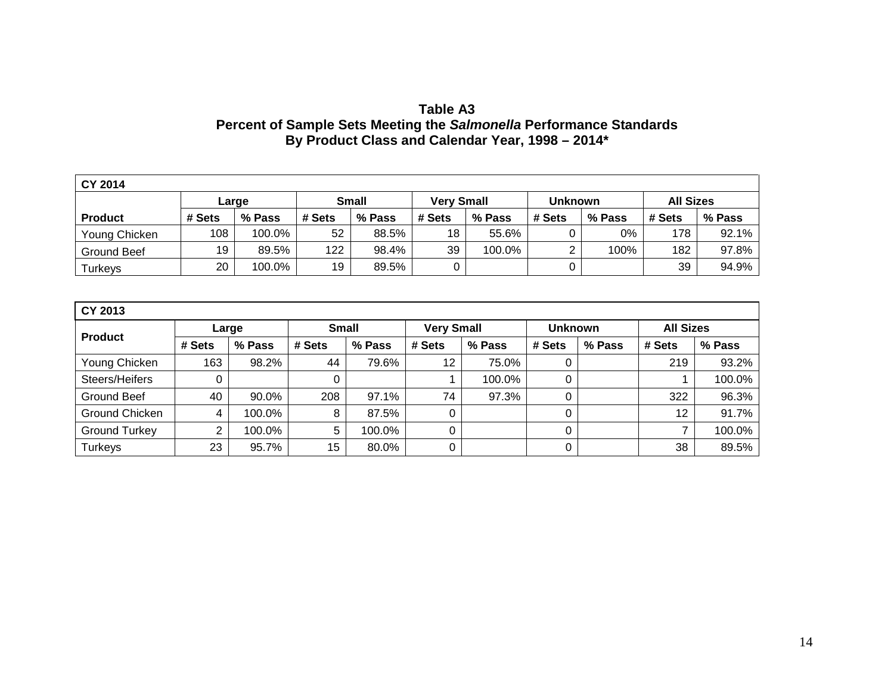# **Table A3 Percent of Sample Sets Meeting the** *Salmonella* **Performance Standards By Product Class and Calendar Year, 1998 – 2014\***

| <b>CY 2014</b> |        |        |        |              |                   |        |                |        |                  |        |  |
|----------------|--------|--------|--------|--------------|-------------------|--------|----------------|--------|------------------|--------|--|
|                |        | Large  |        | <b>Small</b> | <b>Verv Small</b> |        | <b>Unknown</b> |        | <b>All Sizes</b> |        |  |
| <b>Product</b> | # Sets | % Pass | # Sets | % Pass       | # Sets            | % Pass | # Sets         | % Pass | # Sets           | % Pass |  |
| Young Chicken  | 108    | 100.0% | 52     | 88.5%        | 18                | 55.6%  |                | 0%     | 178              | 92.1%  |  |
| Ground Beef    | 19     | 89.5%  | 122    | 98.4%        | 39                | 100.0% | ◠              | 100%   | 182              | 97.8%  |  |
| <b>Turkeys</b> | 20     | 100.0% | 19     | 89.5%        |                   |        |                |        | 39               | 94.9%  |  |

| CY 2013              |        |        |              |        |                   |        |                |        |                  |        |  |  |
|----------------------|--------|--------|--------------|--------|-------------------|--------|----------------|--------|------------------|--------|--|--|
| <b>Product</b>       | Large  |        | <b>Small</b> |        | <b>Very Small</b> |        | <b>Unknown</b> |        | <b>All Sizes</b> |        |  |  |
|                      | # Sets | % Pass | # Sets       | % Pass | # Sets            | % Pass | # Sets         | % Pass | # Sets           | % Pass |  |  |
| Young Chicken        | 163    | 98.2%  | 44           | 79.6%  | 12                | 75.0%  | $\mathbf 0$    |        | 219              | 93.2%  |  |  |
| Steers/Heifers       |        |        | 0            |        |                   | 100.0% | 0              |        |                  | 100.0% |  |  |
| Ground Beef          | 40     | 90.0%  | 208          | 97.1%  | 74                | 97.3%  | 0              |        | 322              | 96.3%  |  |  |
| Ground Chicken       | 4      | 100.0% | 8            | 87.5%  |                   |        | 0              |        | 12               | 91.7%  |  |  |
| <b>Ground Turkey</b> | ⌒      | 100.0% | 5            | 100.0% |                   |        | 0              |        |                  | 100.0% |  |  |
| Turkeys              | 23     | 95.7%  | 15           | 80.0%  | ∩                 |        | 0              |        | 38               | 89.5%  |  |  |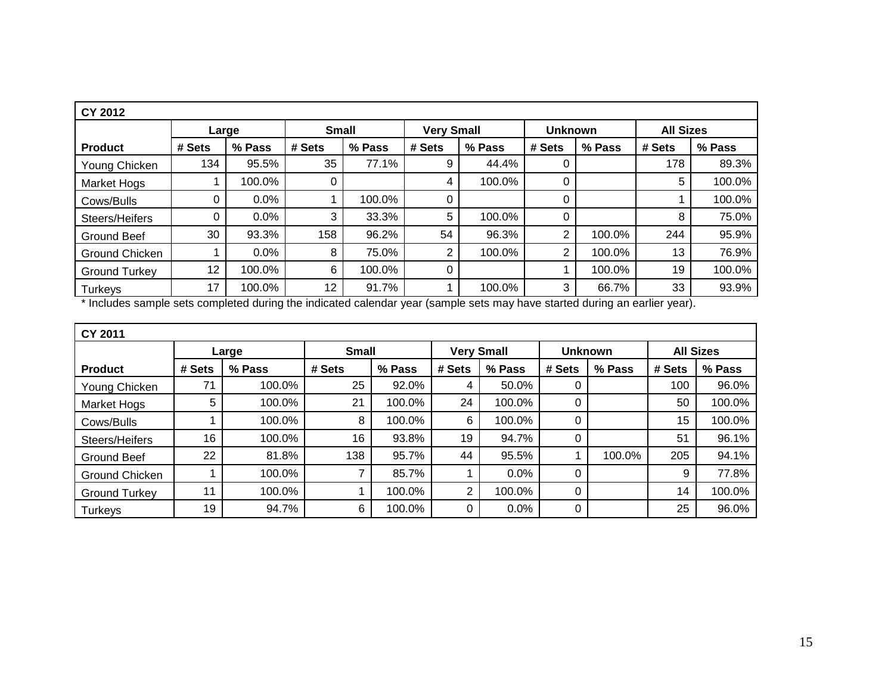| <b>CY 2012</b>       |        |         |              |        |                                     |        |          |        |                  |        |  |  |
|----------------------|--------|---------|--------------|--------|-------------------------------------|--------|----------|--------|------------------|--------|--|--|
|                      | Large  |         | <b>Small</b> |        | <b>Very Small</b><br><b>Unknown</b> |        |          |        | <b>All Sizes</b> |        |  |  |
| <b>Product</b>       | # Sets | % Pass  | # Sets       | % Pass | # Sets                              | % Pass | # Sets   | % Pass | # Sets           | % Pass |  |  |
| Young Chicken        | 134    | 95.5%   | 35           | 77.1%  | 9                                   | 44.4%  | 0        |        | 178              | 89.3%  |  |  |
| <b>Market Hogs</b>   |        | 100.0%  | 0            |        | 4                                   | 100.0% | 0        |        | 5                | 100.0% |  |  |
| Cows/Bulls           | 0      | $0.0\%$ |              | 100.0% | 0                                   |        | 0        |        |                  | 100.0% |  |  |
| Steers/Heifers       | 0      | $0.0\%$ | 3            | 33.3%  | 5                                   | 100.0% | $\Omega$ |        | 8                | 75.0%  |  |  |
| Ground Beef          | 30     | 93.3%   | 158          | 96.2%  | 54                                  | 96.3%  | 2        | 100.0% | 244              | 95.9%  |  |  |
| Ground Chicken       |        | $0.0\%$ | 8            | 75.0%  | 2                                   | 100.0% | 2        | 100.0% | 13               | 76.9%  |  |  |
| <b>Ground Turkey</b> | 12     | 100.0%  | 6            | 100.0% | 0                                   |        |          | 100.0% | 19               | 100.0% |  |  |
| Turkeys              | 17     | 100.0%  | 12           | 91.7%  |                                     | 100.0% | 3        | 66.7%  | 33               | 93.9%  |  |  |

\* Includes sample sets completed during the indicated calendar year (sample sets may have started during an earlier year).

| CY 2011              |        |        |              |        |                   |        |                |        |                  |        |  |  |  |
|----------------------|--------|--------|--------------|--------|-------------------|--------|----------------|--------|------------------|--------|--|--|--|
|                      | Large  |        | <b>Small</b> |        | <b>Very Small</b> |        | <b>Unknown</b> |        | <b>All Sizes</b> |        |  |  |  |
| <b>Product</b>       | # Sets | % Pass | # Sets       | % Pass | # Sets            | % Pass | # Sets         | % Pass | # Sets           | % Pass |  |  |  |
| Young Chicken        | 71     | 100.0% | 25           | 92.0%  | 4                 | 50.0%  | 0              |        | 100              | 96.0%  |  |  |  |
| <b>Market Hogs</b>   | 5      | 100.0% | 21           | 100.0% | 24                | 100.0% | 0              |        | 50               | 100.0% |  |  |  |
| Cows/Bulls           |        | 100.0% | 8            | 100.0% | 6                 | 100.0% | 0              |        | 15               | 100.0% |  |  |  |
| Steers/Heifers       | 16     | 100.0% | 16           | 93.8%  | 19                | 94.7%  | 0              |        | 51               | 96.1%  |  |  |  |
| <b>Ground Beef</b>   | 22     | 81.8%  | 138          | 95.7%  | 44                | 95.5%  |                | 100.0% | 205              | 94.1%  |  |  |  |
| Ground Chicken       |        | 100.0% | 7            | 85.7%  |                   | 0.0%   | 0              |        | 9                | 77.8%  |  |  |  |
| <b>Ground Turkey</b> | 11     | 100.0% |              | 100.0% | 2                 | 100.0% | $\Omega$       |        | 14               | 100.0% |  |  |  |
| <b>Turkeys</b>       | 19     | 94.7%  | 6            | 100.0% | 0                 | 0.0%   | 0              |        | 25               | 96.0%  |  |  |  |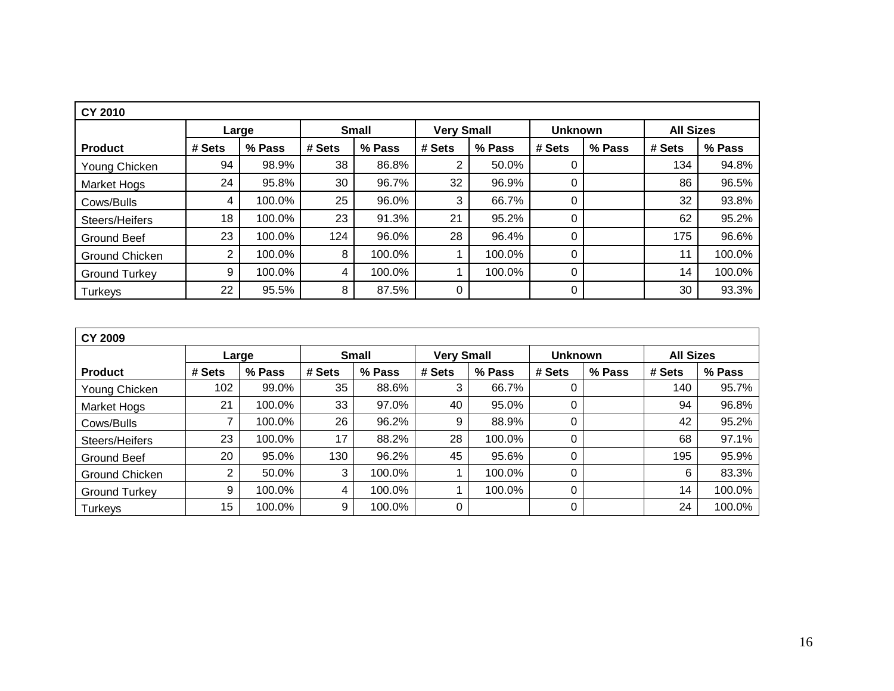| <b>CY 2010</b>       |        |        |        |              |        |                   |        |                |        |                  |  |  |  |
|----------------------|--------|--------|--------|--------------|--------|-------------------|--------|----------------|--------|------------------|--|--|--|
|                      |        | Large  |        | <b>Small</b> |        | <b>Very Small</b> |        | <b>Unknown</b> |        | <b>All Sizes</b> |  |  |  |
| <b>Product</b>       | # Sets | % Pass | # Sets | % Pass       | # Sets | % Pass            | # Sets | % Pass         | # Sets | % Pass           |  |  |  |
| Young Chicken        | 94     | 98.9%  | 38     | 86.8%        | 2      | 50.0%             |        |                | 134    | 94.8%            |  |  |  |
| Market Hogs          | 24     | 95.8%  | 30     | 96.7%        | 32     | 96.9%             | 0      |                | 86     | 96.5%            |  |  |  |
| Cows/Bulls           | 4      | 100.0% | 25     | 96.0%        | 3      | 66.7%             | 0      |                | 32     | 93.8%            |  |  |  |
| Steers/Heifers       | 18     | 100.0% | 23     | 91.3%        | 21     | 95.2%             | 0      |                | 62     | 95.2%            |  |  |  |
| <b>Ground Beef</b>   | 23     | 100.0% | 124    | 96.0%        | 28     | 96.4%             | 0      |                | 175    | 96.6%            |  |  |  |
| Ground Chicken       | 2      | 100.0% | 8      | 100.0%       |        | 100.0%            | 0      |                | 11     | 100.0%           |  |  |  |
| <b>Ground Turkey</b> | 9      | 100.0% | 4      | 100.0%       |        | 100.0%            | 0      |                | 14     | 100.0%           |  |  |  |
| Turkeys              | 22     | 95.5%  | 8      | 87.5%        | 0      |                   | 0      |                | 30     | 93.3%            |  |  |  |

| <b>CY 2009</b>       |        |        |        |              |                   |        |                |        |                  |        |  |  |
|----------------------|--------|--------|--------|--------------|-------------------|--------|----------------|--------|------------------|--------|--|--|
|                      | Large  |        |        | <b>Small</b> | <b>Very Small</b> |        | <b>Unknown</b> |        | <b>All Sizes</b> |        |  |  |
| <b>Product</b>       | # Sets | % Pass | # Sets | % Pass       | # Sets            | % Pass | # Sets         | % Pass | # Sets           | % Pass |  |  |
| Young Chicken        | 102    | 99.0%  | 35     | 88.6%        | 3                 | 66.7%  | 0              |        | 140              | 95.7%  |  |  |
| Market Hogs          | 21     | 100.0% | 33     | 97.0%        | 40                | 95.0%  | 0              |        | 94               | 96.8%  |  |  |
| Cows/Bulls           |        | 100.0% | 26     | 96.2%        | 9                 | 88.9%  | 0              |        | 42               | 95.2%  |  |  |
| Steers/Heifers       | 23     | 100.0% | 17     | 88.2%        | 28                | 100.0% | 0              |        | 68               | 97.1%  |  |  |
| Ground Beef          | 20     | 95.0%  | 130    | 96.2%        | 45                | 95.6%  | 0              |        | 195              | 95.9%  |  |  |
| Ground Chicken       | 2      | 50.0%  | 3      | 100.0%       |                   | 100.0% | 0              |        | 6                | 83.3%  |  |  |
| <b>Ground Turkey</b> | 9      | 100.0% | 4      | 100.0%       |                   | 100.0% | 0              |        | 14               | 100.0% |  |  |
| <b>Turkeys</b>       | 15     | 100.0% | 9      | 100.0%       | 0                 |        | 0              |        | 24               | 100.0% |  |  |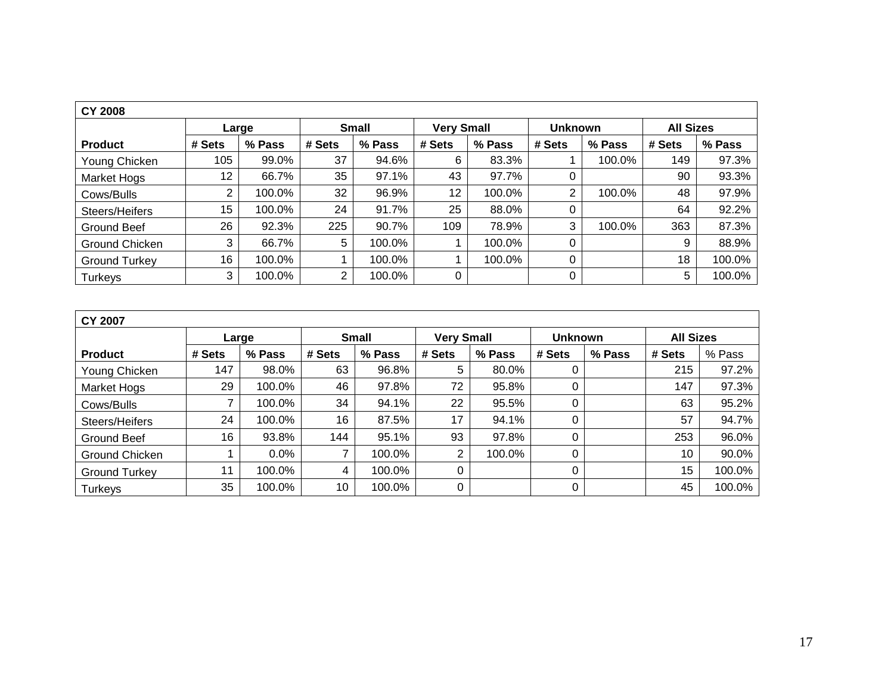| <b>CY 2008</b>       |        |        |              |        |                   |        |                |        |                  |        |  |  |  |
|----------------------|--------|--------|--------------|--------|-------------------|--------|----------------|--------|------------------|--------|--|--|--|
|                      |        | Large  | <b>Small</b> |        | <b>Very Small</b> |        | <b>Unknown</b> |        | <b>All Sizes</b> |        |  |  |  |
| <b>Product</b>       | # Sets | % Pass | # Sets       | % Pass | # Sets            | % Pass | # Sets         | % Pass | # Sets           | % Pass |  |  |  |
| Young Chicken        | 105    | 99.0%  | 37           | 94.6%  | 6                 | 83.3%  |                | 100.0% | 149              | 97.3%  |  |  |  |
| <b>Market Hogs</b>   | 12     | 66.7%  | 35           | 97.1%  | 43                | 97.7%  | 0              |        | 90               | 93.3%  |  |  |  |
| Cows/Bulls           | 2      | 100.0% | 32           | 96.9%  | 12 <sup>°</sup>   | 100.0% | 2              | 100.0% | 48               | 97.9%  |  |  |  |
| Steers/Heifers       | 15     | 100.0% | 24           | 91.7%  | 25                | 88.0%  | 0              |        | 64               | 92.2%  |  |  |  |
| Ground Beef          | 26     | 92.3%  | 225          | 90.7%  | 109               | 78.9%  | 3              | 100.0% | 363              | 87.3%  |  |  |  |
| Ground Chicken       | 3      | 66.7%  | 5            | 100.0% |                   | 100.0% | 0              |        | 9                | 88.9%  |  |  |  |
| <b>Ground Turkey</b> | 16     | 100.0% |              | 100.0% |                   | 100.0% | 0              |        | 18               | 100.0% |  |  |  |
| Turkeys              | 3      | 100.0% | 2            | 100.0% | 0                 |        | 0              |        | 5                | 100.0% |  |  |  |

| <b>CY 2007</b>     |        |         |        |              |                   |        |                |        |                  |        |  |  |
|--------------------|--------|---------|--------|--------------|-------------------|--------|----------------|--------|------------------|--------|--|--|
|                    | Large  |         |        | <b>Small</b> | <b>Very Small</b> |        | <b>Unknown</b> |        | <b>All Sizes</b> |        |  |  |
| <b>Product</b>     | # Sets | % Pass  | # Sets | % Pass       | # Sets            | % Pass | # Sets         | % Pass | # Sets           | % Pass |  |  |
| Young Chicken      | 147    | 98.0%   | 63     | 96.8%        | 5                 | 80.0%  | 0              |        | 215              | 97.2%  |  |  |
| <b>Market Hogs</b> | 29     | 100.0%  | 46     | 97.8%        | 72                | 95.8%  | 0              |        | 147              | 97.3%  |  |  |
| Cows/Bulls         | 7      | 100.0%  | 34     | 94.1%        | 22                | 95.5%  | 0              |        | 63               | 95.2%  |  |  |
| Steers/Heifers     | 24     | 100.0%  | 16     | 87.5%        | 17                | 94.1%  | 0              |        | 57               | 94.7%  |  |  |
| Ground Beef        | 16     | 93.8%   | 144    | 95.1%        | 93                | 97.8%  | 0              |        | 253              | 96.0%  |  |  |
| Ground Chicken     |        | $0.0\%$ | ⇁      | 100.0%       | $\overline{2}$    | 100.0% | 0              |        | 10               | 90.0%  |  |  |
| Ground Turkey      | 11     | 100.0%  | 4      | 100.0%       | 0                 |        | 0              |        | 15               | 100.0% |  |  |
| Turkeys            | 35     | 100.0%  | 10     | 100.0%       | $\mathbf 0$       |        | 0              |        | 45               | 100.0% |  |  |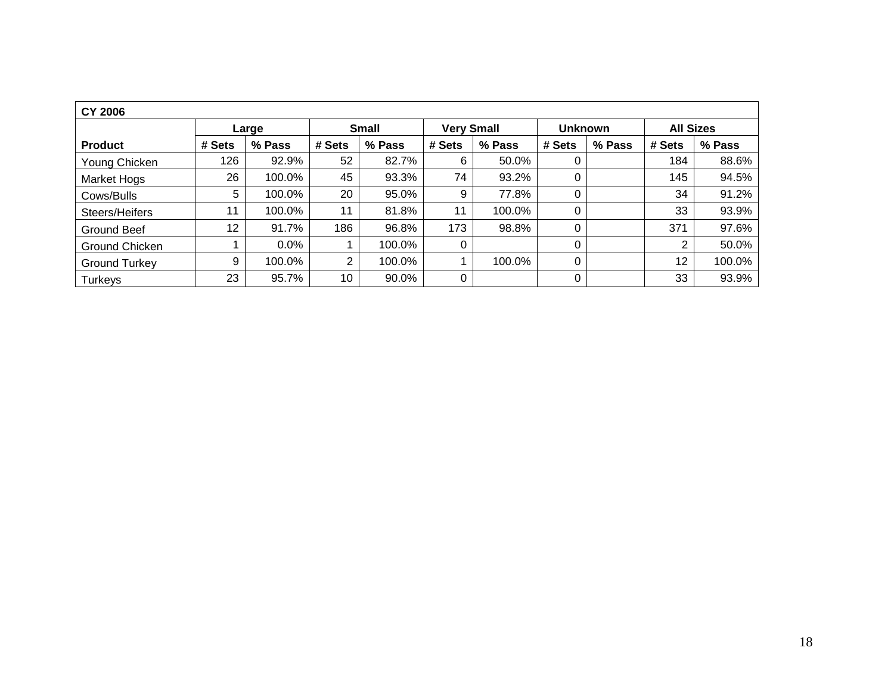| <b>CY 2006</b>       |                 |         |                 |        |                   |        |                |        |                  |        |  |  |  |
|----------------------|-----------------|---------|-----------------|--------|-------------------|--------|----------------|--------|------------------|--------|--|--|--|
|                      |                 | Large   | <b>Small</b>    |        | <b>Very Small</b> |        | <b>Unknown</b> |        | <b>All Sizes</b> |        |  |  |  |
| <b>Product</b>       | # Sets          | % Pass  | # Sets          | % Pass | # Sets            | % Pass | # Sets         | % Pass | # Sets           | % Pass |  |  |  |
| Young Chicken        | 126             | 92.9%   | 52              | 82.7%  | 6                 | 50.0%  |                |        | 184              | 88.6%  |  |  |  |
| Market Hogs          | 26              | 100.0%  | 45              | 93.3%  | 74                | 93.2%  | 0              |        | 145              | 94.5%  |  |  |  |
| Cows/Bulls           | 5               | 100.0%  | 20              | 95.0%  | 9                 | 77.8%  | 0              |        | 34               | 91.2%  |  |  |  |
| Steers/Heifers       | 11              | 100.0%  | 11              | 81.8%  | 11                | 100.0% | 0              |        | 33               | 93.9%  |  |  |  |
| <b>Ground Beef</b>   | 12 <sup>2</sup> | 91.7%   | 186             | 96.8%  | 173               | 98.8%  | 0              |        | 371              | 97.6%  |  |  |  |
| Ground Chicken       |                 | $0.0\%$ |                 | 100.0% | 0                 |        | 0              |        | 2                | 50.0%  |  |  |  |
| <b>Ground Turkey</b> | 9               | 100.0%  | $\overline{2}$  | 100.0% |                   | 100.0% | 0              |        | 12               | 100.0% |  |  |  |
| Turkeys              | 23              | 95.7%   | 10 <sup>°</sup> | 90.0%  | 0                 |        | 0              |        | 33               | 93.9%  |  |  |  |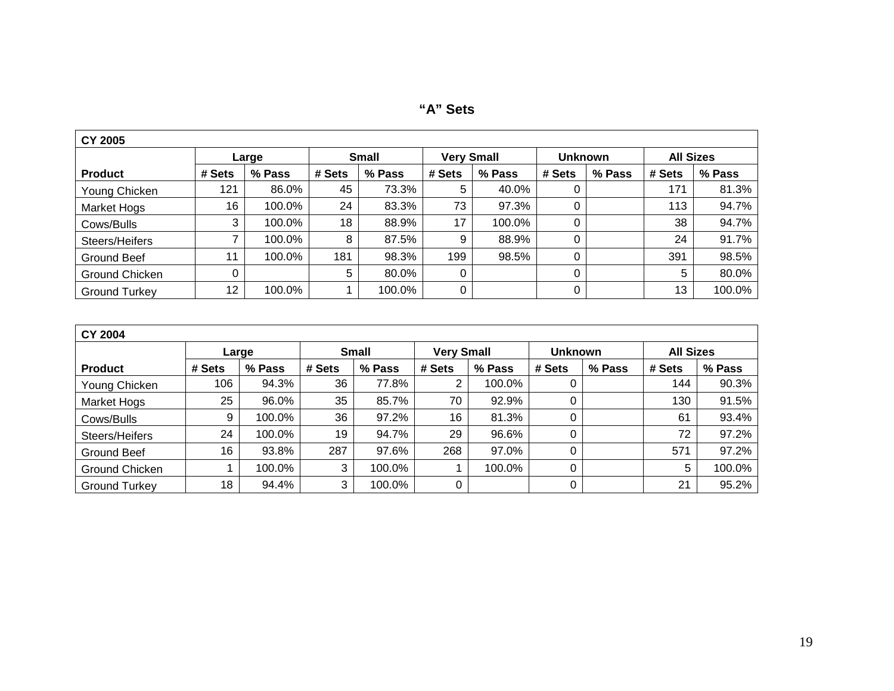| <b>CY 2005</b>       |        |        |        |              |                   |        |                |        |                  |        |
|----------------------|--------|--------|--------|--------------|-------------------|--------|----------------|--------|------------------|--------|
|                      |        | Large  |        | <b>Small</b> | <b>Very Small</b> |        | <b>Unknown</b> |        | <b>All Sizes</b> |        |
| <b>Product</b>       | # Sets | % Pass | # Sets | % Pass       | # Sets            | % Pass | # Sets         | % Pass | # Sets           | % Pass |
| Young Chicken        | 121    | 86.0%  | 45     | 73.3%        | 5                 | 40.0%  |                |        | 171              | 81.3%  |
| <b>Market Hogs</b>   | 16     | 100.0% | 24     | 83.3%        | 73                | 97.3%  |                |        | 113              | 94.7%  |
| Cows/Bulls           | 3      | 100.0% | 18     | 88.9%        | 17                | 100.0% |                |        | 38               | 94.7%  |
| Steers/Heifers       |        | 100.0% | 8      | 87.5%        | 9                 | 88.9%  |                |        | 24               | 91.7%  |
| Ground Beef          | 11     | 100.0% | 181    | 98.3%        | 199               | 98.5%  |                |        | 391              | 98.5%  |
| Ground Chicken       |        |        | 5      | 80.0%        | 0                 |        |                |        | 5                | 80.0%  |
| <b>Ground Turkey</b> | 12     | 100.0% |        | 100.0%       | 0                 |        |                |        | 13               | 100.0% |

| <b>CY 2004</b>       |        |        |        |                  |                   |        |                |        |                  |        |
|----------------------|--------|--------|--------|------------------|-------------------|--------|----------------|--------|------------------|--------|
|                      |        | Large  |        | <b>Small</b>     | <b>Very Small</b> |        | <b>Unknown</b> |        | <b>All Sizes</b> |        |
| <b>Product</b>       | # Sets | % Pass | # Sets | % Pass<br># Sets |                   | % Pass | # Sets         | % Pass | # Sets           | % Pass |
| Young Chicken        | 106    | 94.3%  | 36     | 77.8%            | $\overline{2}$    | 100.0% | 0              |        | 144              | 90.3%  |
| Market Hogs          | 25     | 96.0%  | 35     | 85.7%            | 70                | 92.9%  | 0              |        | 130              | 91.5%  |
| Cows/Bulls           | 9      | 100.0% | 36     | 97.2%            | 16                | 81.3%  | 0              |        | 61               | 93.4%  |
| Steers/Heifers       | 24     | 100.0% | 19     | 94.7%            | 29                | 96.6%  | 0              |        | 72               | 97.2%  |
| Ground Beef          | 16     | 93.8%  | 287    | 97.6%            | 268               | 97.0%  | 0              |        | 571              | 97.2%  |
| Ground Chicken       |        | 100.0% | 3      | 100.0%           |                   | 100.0% | 0              |        | 5                | 100.0% |
| <b>Ground Turkey</b> | 18     | 94.4%  | 3      | 100.0%           | 0                 |        | 0              |        | 21               | 95.2%  |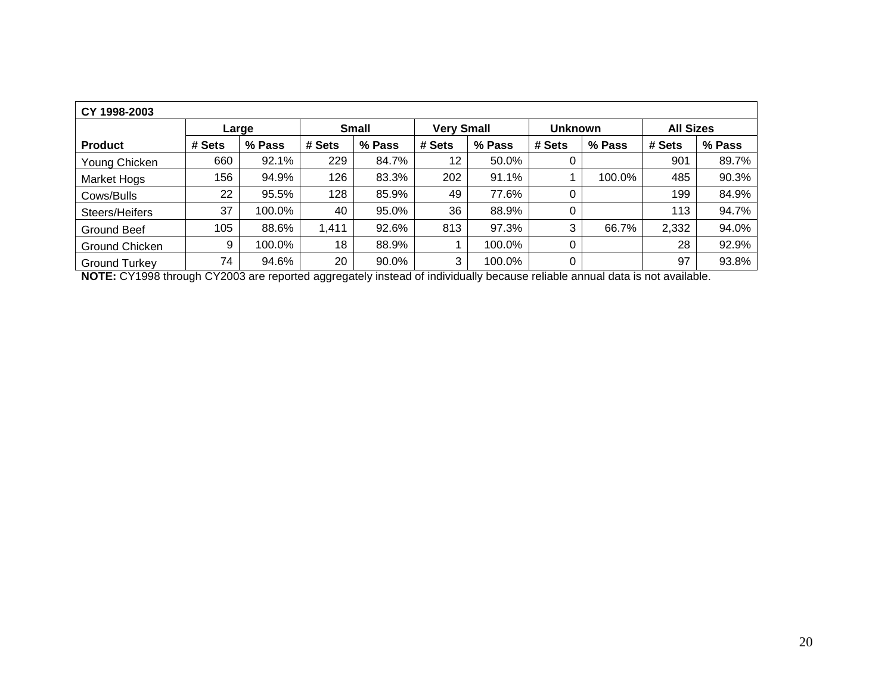| CY 1998-2003         |        |        |        |              |                   |        |                |        |                  |        |
|----------------------|--------|--------|--------|--------------|-------------------|--------|----------------|--------|------------------|--------|
|                      |        | Large  |        | <b>Small</b> | <b>Very Small</b> |        | <b>Unknown</b> |        | <b>All Sizes</b> |        |
| <b>Product</b>       | # Sets | % Pass | # Sets | % Pass       | # Sets            | % Pass | # Sets         | % Pass | # Sets           | % Pass |
| Young Chicken        | 660    | 92.1%  | 229    | 84.7%        | 12 <sup>°</sup>   | 50.0%  | 0              |        | 901              | 89.7%  |
| <b>Market Hogs</b>   | 156    | 94.9%  | 126    | 83.3%        | 202               | 91.1%  |                | 100.0% | 485              | 90.3%  |
| Cows/Bulls           | 22     | 95.5%  | 128    | 85.9%        | 49                | 77.6%  | 0              |        | 199              | 84.9%  |
| Steers/Heifers       | 37     | 100.0% | 40     | 95.0%        | 36                | 88.9%  | 0              |        | 113              | 94.7%  |
| Ground Beef          | 105    | 88.6%  | 1,411  | 92.6%        | 813               | 97.3%  | 3              | 66.7%  | 2,332            | 94.0%  |
| Ground Chicken       | 9      | 100.0% | 18     | 88.9%        |                   | 100.0% | 0              |        | 28               | 92.9%  |
| <b>Ground Turkey</b> | 74     | 94.6%  | 20     | 90.0%        | 3                 | 100.0% | 0              |        | 97               | 93.8%  |

**NOTE:** CY1998 through CY2003 are reported aggregately instead of individually because reliable annual data is not available.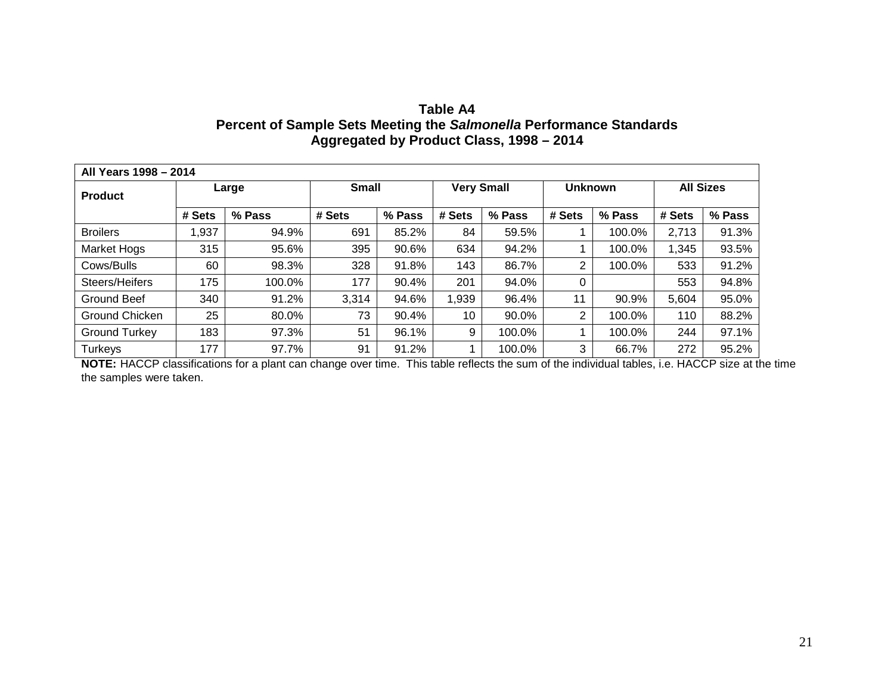| Table A4                                                            |
|---------------------------------------------------------------------|
| Percent of Sample Sets Meeting the Salmonella Performance Standards |
| Aggregated by Product Class, 1998 – 2014                            |

| All Years 1998 - 2014 |        |        |              |        |                   |        |                |        |                  |        |
|-----------------------|--------|--------|--------------|--------|-------------------|--------|----------------|--------|------------------|--------|
| <b>Product</b>        |        | Large  | <b>Small</b> |        | <b>Very Small</b> |        | <b>Unknown</b> |        | <b>All Sizes</b> |        |
|                       | # Sets | % Pass | # Sets       | % Pass | # Sets            | % Pass | # Sets         | % Pass | # Sets           | % Pass |
| <b>Broilers</b>       | 1,937  | 94.9%  | 691          | 85.2%  | 84                | 59.5%  |                | 100.0% | 2,713            | 91.3%  |
| <b>Market Hogs</b>    | 315    | 95.6%  | 395          | 90.6%  | 634               | 94.2%  |                | 100.0% | 1,345            | 93.5%  |
| Cows/Bulls            | 60     | 98.3%  | 328          | 91.8%  | 143               | 86.7%  | 2              | 100.0% | 533              | 91.2%  |
| Steers/Heifers        | 175    | 100.0% | 177          | 90.4%  | 201               | 94.0%  | 0              |        | 553              | 94.8%  |
| Ground Beef           | 340    | 91.2%  | 3,314        | 94.6%  | 1,939             | 96.4%  | 11             | 90.9%  | 5,604            | 95.0%  |
| Ground Chicken        | 25     | 80.0%  | 73           | 90.4%  | 10                | 90.0%  | 2              | 100.0% | 110              | 88.2%  |
| <b>Ground Turkey</b>  | 183    | 97.3%  | 51           | 96.1%  | 9                 | 100.0% |                | 100.0% | 244              | 97.1%  |
| Turkeys               | 177    | 97.7%  | 91           | 91.2%  |                   | 100.0% | 3              | 66.7%  | 272              | 95.2%  |

**NOTE:** HACCP classifications for a plant can change over time. This table reflects the sum of the individual tables, i.e. HACCP size at the time the samples were taken.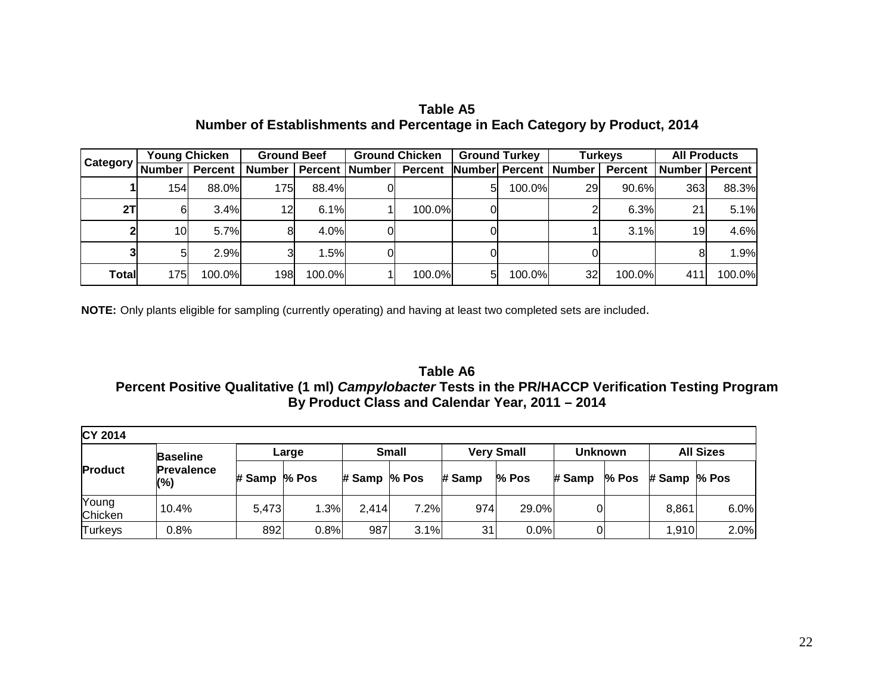|          |                 | <b>Young Chicken</b> | <b>Ground Beef</b>        |        | <b>Ground Chicken</b> |    | <b>Ground Turkey</b>    |    | <b>Turkeys</b> | <b>All Products</b> |                |
|----------|-----------------|----------------------|---------------------------|--------|-----------------------|----|-------------------------|----|----------------|---------------------|----------------|
| Category | <b>Number</b>   | <b>Percent</b>       | Number   Percent   Number |        | <b>Percent</b>        |    | Number Percent   Number |    | <b>Percent</b> | <b>Number</b>       | <b>Percent</b> |
|          | 154             | 88.0%                | 175                       | 88.4%  |                       | 51 | 100.0%                  | 29 | 90.6%          | 363                 | 88.3%          |
| 2T       | 61              | 3.4%                 | 12                        | 6.1%   | 100.0%                | 0I |                         |    | 6.3%           | 21                  | 5.1%           |
|          | 10 <sub>l</sub> | 5.7%                 |                           | 4.0%   |                       | OI |                         |    | 3.1%           | 19                  | 4.6%           |
|          |                 | 2.9%                 |                           | .5%    |                       |    |                         |    |                |                     | 1.9%           |
| Total    | 175I            | 100.0%               | 198                       | 100.0% | 100.0%                | 51 | 100.0%                  | 32 | 100.0%         | 411                 | 100.0%         |

**Table A5 Number of Establishments and Percentage in Each Category by Product, 2014** 

**NOTE:** Only plants eligible for sampling (currently operating) and having at least two completed sets are included.

**Table A6 Percent Positive Qualitative (1 ml)** *Campylobacter* **Tests in the PR/HACCP Verification Testing Program By Product Class and Calendar Year, 2011 – 2014** 

| <b>CY 2014</b>   |                          |              |       |              |              |        |                   |                |         |              |                  |
|------------------|--------------------------|--------------|-------|--------------|--------------|--------|-------------------|----------------|---------|--------------|------------------|
|                  | <b>Baseline</b>          |              | Large |              | <b>Small</b> |        | <b>Very Small</b> | <b>Unknown</b> |         |              | <b>All Sizes</b> |
| <b>Product</b>   | <b>Prevalence</b><br>(%) | # Samp % Pos |       | # Samp % Pos |              | # Samp | % Pos             | # Samp         | $%$ Pos | # Samp % Pos |                  |
| Young<br>Chicken | 10.4%                    | 5,473        | .3%   | 2,414        | 7.2%         | 974    | 29.0%             | 0              |         | 8,861        | 6.0%             |
| <b>Turkeys</b>   | 0.8%                     | 892          | 0.8%  | 987          | 3.1%         | 31     | 0.0%              |                |         | 1,910        | 2.0%             |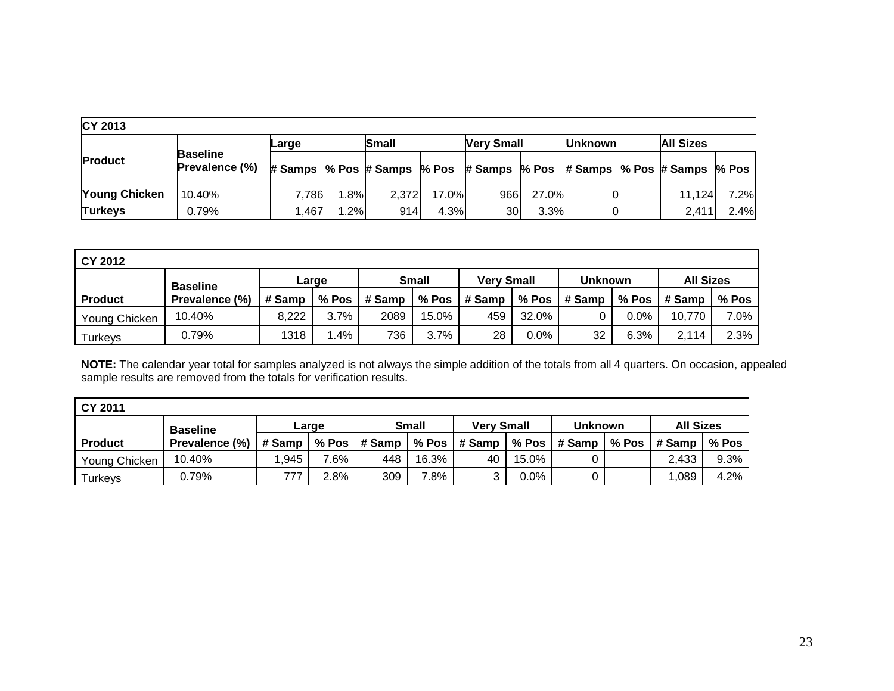| <b>CY 2013</b>       |                                          |                                                                       |      |              |       |                   |        |                |                  |      |
|----------------------|------------------------------------------|-----------------------------------------------------------------------|------|--------------|-------|-------------------|--------|----------------|------------------|------|
|                      |                                          | Large                                                                 |      | <b>Small</b> |       | <b>Very Small</b> |        | <b>Unknown</b> | <b>All Sizes</b> |      |
| <b>Product</b>       | <b>Baseline</b><br><b>Prevalence (%)</b> | # Samps % Pos # Samps % Pos # Samps % Pos # Samps % Pos # Samps % Pos |      |              |       |                   |        |                |                  |      |
| <b>Young Chicken</b> | 10.40%                                   | 7.786                                                                 | .8%  | 2,372        | 17.0% | 966               | 27.0%l |                | 11.124           | 7.2% |
| <b>Turkeys</b>       | 0.79%                                    | 1,467                                                                 | 1.2% | 914          | 4.3%  | 30                | 3.3%   |                | 2.411            | 2.4% |

| <b>CY 2012</b>  |                |        |         |        |              |        |                   |         |                |                  |         |
|-----------------|----------------|--------|---------|--------|--------------|--------|-------------------|---------|----------------|------------------|---------|
| <b>Baseline</b> |                |        | Large   |        | <b>Small</b> |        | <b>Verv Small</b> |         | <b>Unknown</b> | <b>All Sizes</b> |         |
| <b>Product</b>  | Prevalence (%) | # Samp | $%$ Pos | # Samp | % Pos        | # Samp | $%$ Pos           | ∣# Samp | $%$ Pos        | ∣# Samp          | $%$ Pos |
| Young Chicken   | 10.40%         | 8,222  | $3.7\%$ | 2089   | $15.0\%$     | 459    | 32.0%             |         | $0.0\%$        | 10,770           | 7.0%    |
| Turkeys         | 0.79%          | 1318   | 1.4%    | 736    | 3.7%         | 28     | $0.0\%$           | 32      | 6.3%           | 2,114            | 2.3%    |

**NOTE:** The calendar year total for samples analyzed is not always the simple addition of the totals from all 4 quarters. On occasion, appealed sample results are removed from the totals for verification results.

| CY 2011        |                 |        |      |                      |       |                                          |       |                      |  |                      |         |
|----------------|-----------------|--------|------|----------------------|-------|------------------------------------------|-------|----------------------|--|----------------------|---------|
|                | <b>Baseline</b> | Large  |      | <b>Small</b>         |       | <b>Verv Small</b>                        |       | <b>Unknown</b>       |  | <b>All Sizes</b>     |         |
| <b>Product</b> | Prevalence (%)  | # Samp |      | % Pos $\vert$ # Samp |       | $\frac{1}{6}$ % Pos $\frac{1}{6}$ # Samp |       | % Pos $\vert$ # Samp |  | % Pos $\vert$ # Samp | % Pos   |
| Young Chicken  | 10.40%          | .945   | 7.6% | 448                  | 16.3% | 40                                       | 15.0% |                      |  | 2,433                | $9.3\%$ |
| <b>Turkeys</b> | 0.79%           | 777    | 2.8% | 309                  | 7.8%  |                                          | 0.0%  |                      |  | .089                 | 4.2%    |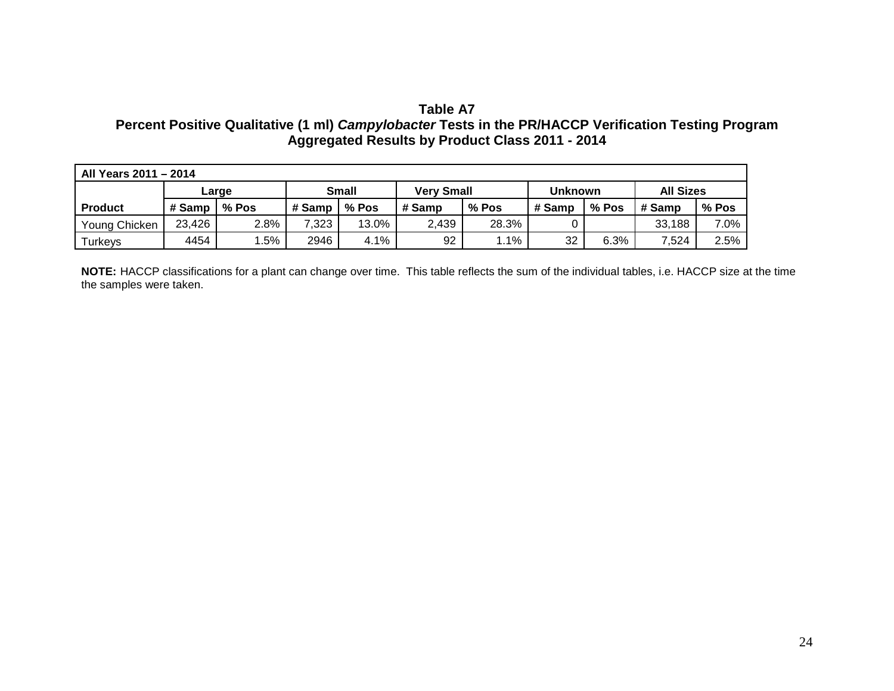# **Table A7**

# **Percent Positive Qualitative (1 ml)** *Campylobacter* **Tests in the PR/HACCP Verification Testing Program Aggregated Results by Product Class 2011 - 2014**

| All Years 2011 - 2014 |        |       |              |       |                   |       |                |       |                  |         |
|-----------------------|--------|-------|--------------|-------|-------------------|-------|----------------|-------|------------------|---------|
|                       |        | Large | <b>Small</b> |       | <b>Very Small</b> |       | <b>Unknown</b> |       | <b>All Sizes</b> |         |
| <b>Product</b>        | # Samp | % Pos | # Samp       | % Pos | # Samp            | % Pos | # Samp         | % Pos | # Samp           | % Pos   |
| Young Chicken         | 23,426 | 2.8%  | 7,323        | 13.0% | 2,439             | 28.3% |                |       | 33,188           | $7.0\%$ |
| Turkeys               | 4454   | .5%   | 2946         | 4.1%  | 92                | 1.1%  | 32             | 6.3%  | 7,524            | 2.5%    |

**NOTE:** HACCP classifications for a plant can change over time. This table reflects the sum of the individual tables, i.e. HACCP size at the time the samples were taken.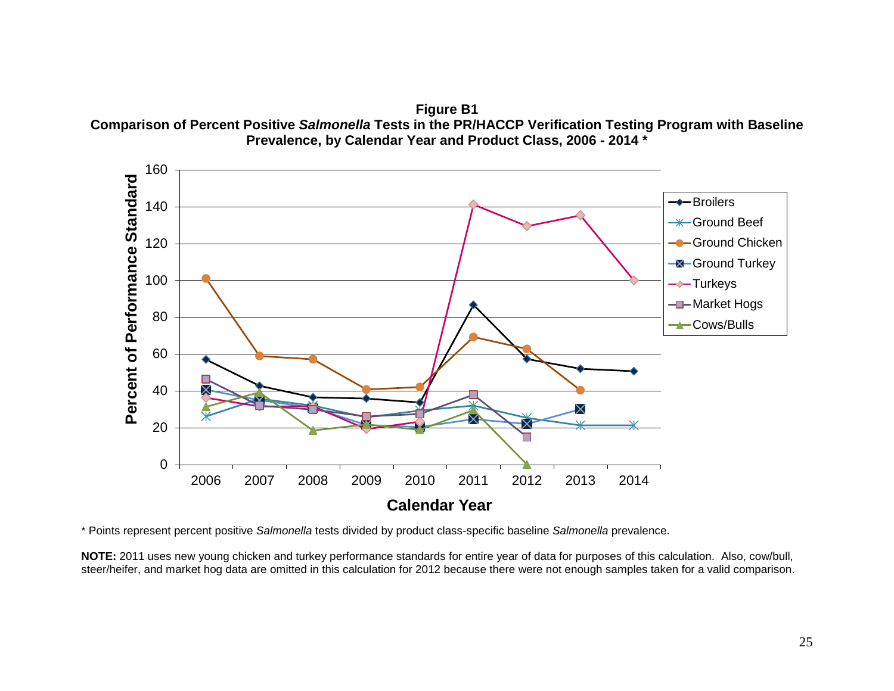**Figure B1 Comparison of Percent Positive** *Salmonella* **Tests in the PR/HACCP Verification Testing Program with Baseline Prevalence, by Calendar Year and Product Class, 2006 - 2014 \***



\* Points represent percent positive *Salmonella* tests divided by product class-specific baseline *Salmonella* prevalence.

**NOTE:** 2011 uses new young chicken and turkey performance standards for entire year of data for purposes of this calculation. Also, cow/bull, steer/heifer, and market hog data are omitted in this calculation for 2012 because there were not enough samples taken for a valid comparison.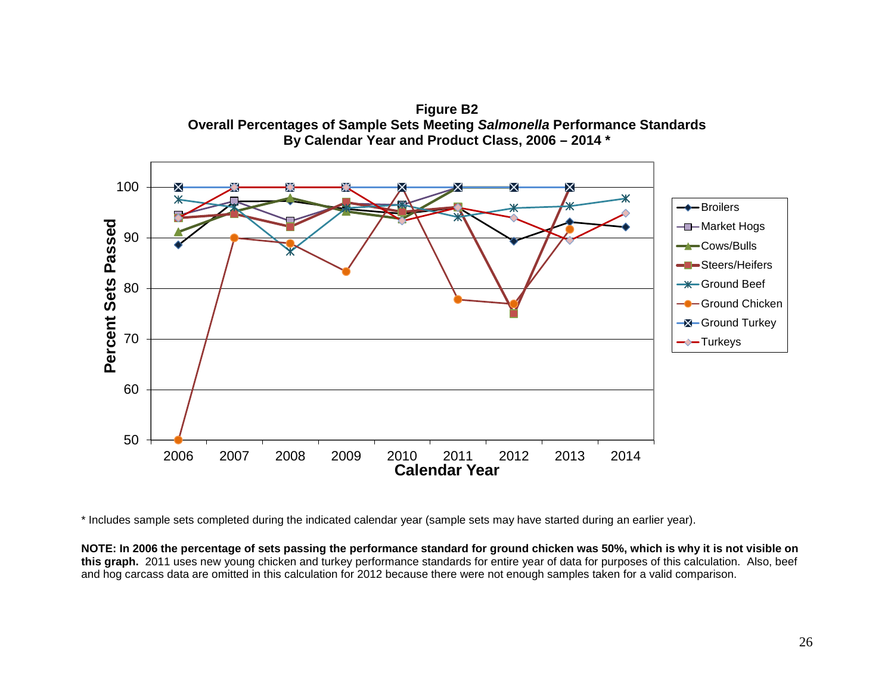

\* Includes sample sets completed during the indicated calendar year (sample sets may have started during an earlier year).

**NOTE: In 2006 the percentage of sets passing the performance standard for ground chicken was 50%, which is why it is not visible on this graph.** 2011 uses new young chicken and turkey performance standards for entire year of data for purposes of this calculation. Also, beef and hog carcass data are omitted in this calculation for 2012 because there were not enough samples taken for a valid comparison.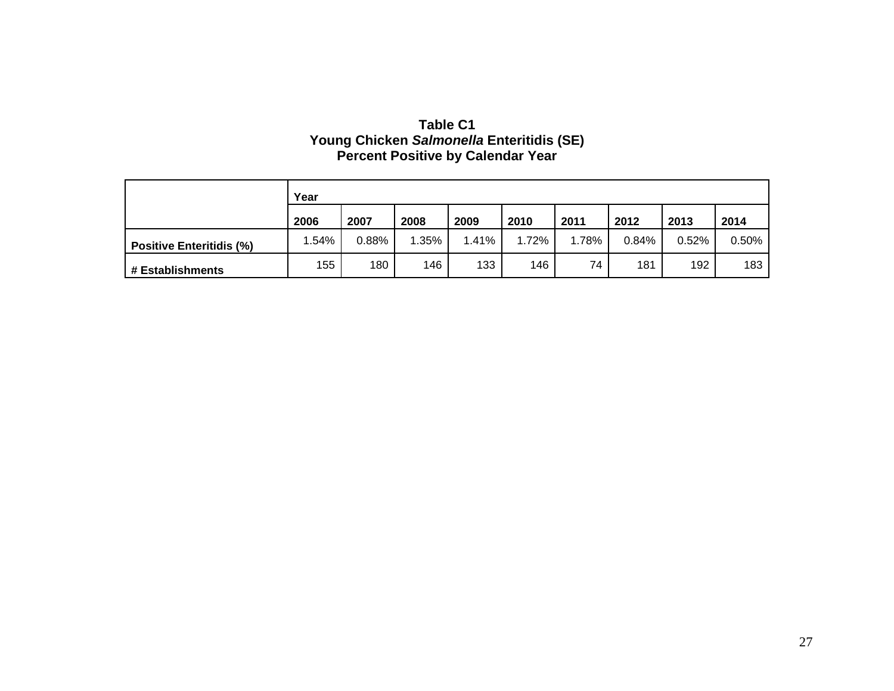| Table C1                                  |
|-------------------------------------------|
| Young Chicken Salmonella Enteritidis (SE) |
| <b>Percent Positive by Calendar Year</b>  |

|                                 | Year  |       |         |       |       |       |       |       |       |  |  |
|---------------------------------|-------|-------|---------|-------|-------|-------|-------|-------|-------|--|--|
|                                 | 2006  | 2007  | 2008    | 2009  | 2010  | 2011  | 2012  | 2013  | 2014  |  |  |
| <b>Positive Enteritidis (%)</b> | 1.54% | 0.88% | $.35\%$ | 1.41% | 1.72% | 1.78% | 0.84% | 0.52% | 0.50% |  |  |
| # Establishments                | 155   | 180   | 146     | 133   | 146   | 74    | 181   | 192   | 183   |  |  |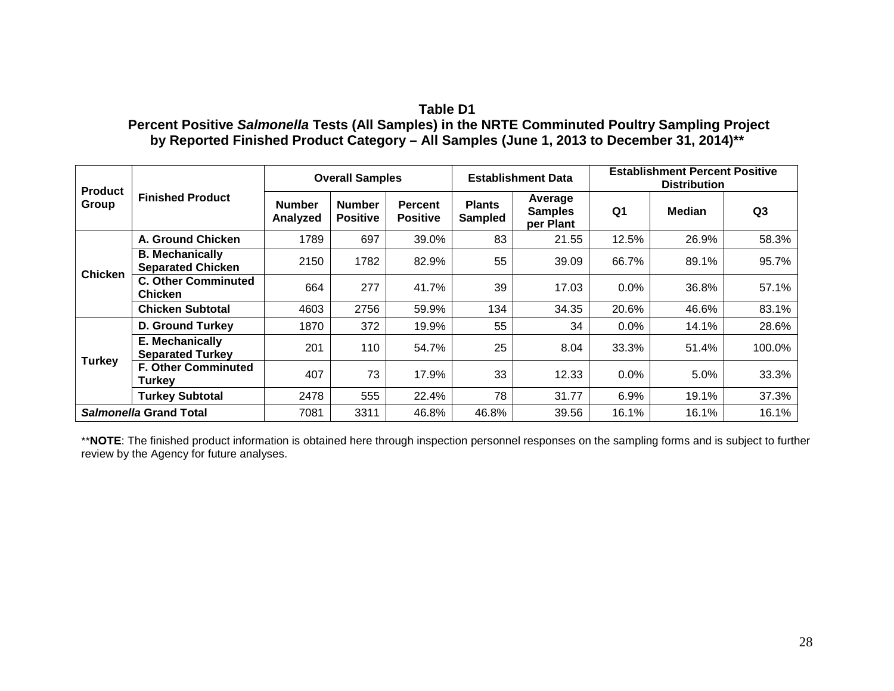## **Table D1**

## **Percent Positive** *Salmonella* **Tests (All Samples) in the NRTE Comminuted Poultry Sampling Project by Reported Finished Product Category – All Samples (June 1, 2013 to December 31, 2014)\*\***

| <b>Product</b><br>Group | <b>Finished Product</b>                            |                           | <b>Overall Samples</b>           |                                           |                                 | <b>Establishment Data</b>              | <b>Establishment Percent Positive</b><br><b>Distribution</b> |               |                |  |
|-------------------------|----------------------------------------------------|---------------------------|----------------------------------|-------------------------------------------|---------------------------------|----------------------------------------|--------------------------------------------------------------|---------------|----------------|--|
|                         |                                                    | <b>Number</b><br>Analyzed | <b>Number</b><br><b>Positive</b> | <b>Percent</b><br><b>Positive</b>         | <b>Plants</b><br><b>Sampled</b> | Average<br><b>Samples</b><br>per Plant | Q1                                                           | <b>Median</b> | Q <sub>3</sub> |  |
| <b>Chicken</b>          | A. Ground Chicken                                  | 1789                      | 697                              | 39.0%                                     | 83                              | 21.55                                  | 12.5%                                                        | 26.9%         | 58.3%          |  |
|                         | <b>B. Mechanically</b><br><b>Separated Chicken</b> | 2150                      | 1782                             | 82.9%                                     | 55                              | 39.09                                  | 66.7%                                                        | 89.1%         | 95.7%          |  |
|                         | <b>C. Other Comminuted</b><br><b>Chicken</b>       | 664                       | 277                              | 41.7%                                     | 39                              | 17.03                                  | $0.0\%$                                                      | 36.8%         | 57.1%          |  |
|                         | <b>Chicken Subtotal</b>                            | 4603                      | 2756                             | 59.9%                                     | 134                             | 34.35                                  | 20.6%                                                        | 46.6%         | 83.1%          |  |
| <b>Turkey</b>           | <b>D. Ground Turkey</b>                            | 1870                      | 372                              | 19.9%                                     | 55                              | 34                                     | 0.0%                                                         | 14.1%         | 28.6%          |  |
|                         | E. Mechanically<br><b>Separated Turkey</b>         | 201                       | 110                              | 54.7%                                     | 25                              | 8.04                                   | 33.3%                                                        | 51.4%         | 100.0%         |  |
|                         | <b>F. Other Comminuted</b><br>Turkey               | 407                       | 73                               | 17.9%                                     | 33                              | 12.33                                  | 0.0%                                                         | 5.0%          | 33.3%          |  |
|                         | <b>Turkey Subtotal</b>                             | 2478                      | 555                              | 22.4%                                     | 78                              | 31.77                                  | 6.9%                                                         | 19.1%         | 37.3%          |  |
|                         | Salmonella Grand Total                             | 7081                      | 3311                             | 16.1%<br>46.8%<br>46.8%<br>16.1%<br>39.56 |                                 | 16.1%                                  |                                                              |               |                |  |

\*\*NOTE: The finished product information is obtained here through inspection personnel responses on the sampling forms and is subject to further review by the Agency for future analyses.